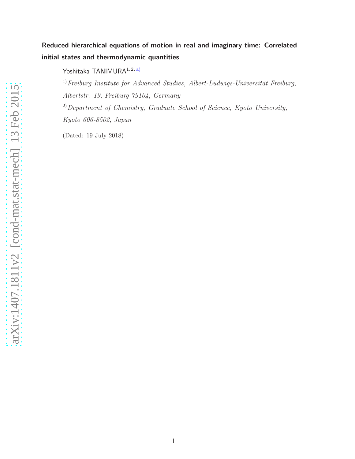Yoshitaka TANIMURA<sup>1, 2, a)</sup>

 $1)$  Freiburg Institute for Advanced Studies, Albert-Ludwigs-Universität Freiburg, Albertstr. 19, Freiburg 79104, Germany  $^{2)}$ Department of Chemistry, Graduate School of Science, Kyoto University,

Kyoto 606-8502, Japan

(Dated: 19 July 2018)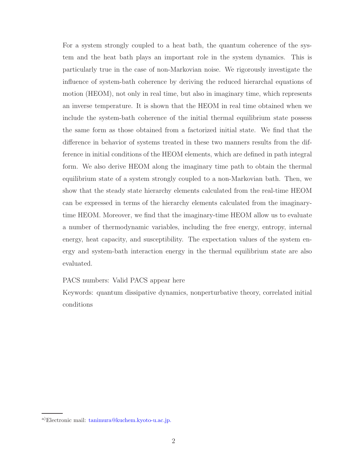For a system strongly coupled to a heat bath, the quantum coherence of the system and the heat bath plays an important role in the system dynamics. This is particularly true in the case of non-Markovian noise. We rigorously investigate the influence of system-bath coherence by deriving the reduced hierarchal equations of motion (HEOM), not only in real time, but also in imaginary time, which represents an inverse temperature. It is shown that the HEOM in real time obtained when we include the system-bath coherence of the initial thermal equilibrium state possess the same form as those obtained from a factorized initial state. We find that the difference in behavior of systems treated in these two manners results from the difference in initial conditions of the HEOM elements, which are defined in path integral form. We also derive HEOM along the imaginary time path to obtain the thermal equilibrium state of a system strongly coupled to a non-Markovian bath. Then, we show that the steady state hierarchy elements calculated from the real-time HEOM can be expressed in terms of the hierarchy elements calculated from the imaginarytime HEOM. Moreover, we find that the imaginary-time HEOM allow us to evaluate a number of thermodynamic variables, including the free energy, entropy, internal energy, heat capacity, and susceptibility. The expectation values of the system energy and system-bath interaction energy in the thermal equilibrium state are also evaluated.

## PACS numbers: Valid PACS appear here

Keywords: quantum dissipative dynamics, nonperturbative theory, correlated initial conditions

a)Electronic mail: tanimura@kuchem.kyoto-u.ac.jp.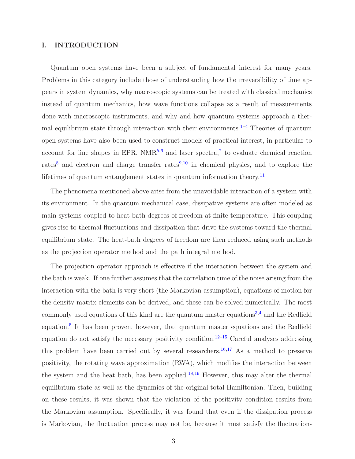## I. INTRODUCTION

Quantum open systems have been a subject of fundamental interest for many years. Problems in this category include those of understanding how the irreversibility of time appears in system dynamics, why macroscopic systems can be treated with classical mechanics instead of quantum mechanics, how wave functions collapse as a result of measurements done with macroscopic instruments, and why and how quantum systems approach a thermal equilibrium state through interaction with their environments.<sup>1-4</sup> Theories of quantum open systems have also been used to construct models of practical interest, in particular to account for line shapes in EPR,  $NMR^{5,6}$  and laser spectra,<sup>7</sup> to evaluate chemical reaction rates<sup>8</sup> and electron and charge transfer rates<sup>9,10</sup> in chemical physics, and to explore the lifetimes of quantum entanglement states in quantum information theory.<sup>11</sup>

The phenomena mentioned above arise from the unavoidable interaction of a system with its environment. In the quantum mechanical case, dissipative systems are often modeled as main systems coupled to heat-bath degrees of freedom at finite temperature. This coupling gives rise to thermal fluctuations and dissipation that drive the systems toward the thermal equilibrium state. The heat-bath degrees of freedom are then reduced using such methods as the projection operator method and the path integral method.

The projection operator approach is effective if the interaction between the system and the bath is weak. If one further assumes that the correlation time of the noise arising from the interaction with the bath is very short (the Markovian assumption), equations of motion for the density matrix elements can be derived, and these can be solved numerically. The most commonly used equations of this kind are the quantum master equations<sup>3,4</sup> and the Redfield equation.<sup>5</sup> It has been proven, however, that quantum master equations and the Redfield equation do not satisfy the necessary positivity condition.<sup>12–15</sup> Careful analyses addressing this problem have been carried out by several researchers.<sup>16,17</sup> As a method to preserve positivity, the rotating wave approximation (RWA), which modifies the interaction between the system and the heat bath, has been applied.<sup>18,19</sup> However, this may alter the thermal equilibrium state as well as the dynamics of the original total Hamiltonian. Then, building on these results, it was shown that the violation of the positivity condition results from the Markovian assumption. Specifically, it was found that even if the dissipation process is Markovian, the fluctuation process may not be, because it must satisfy the fluctuation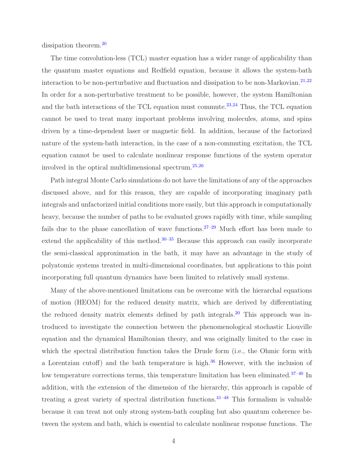dissipation theorem.<sup>20</sup>

The time convolution-less (TCL) master equation has a wider range of applicability than the quantum master equations and Redfield equation, because it allows the system-bath interaction to be non-perturbative and fluctuation and dissipation to be non-Markovian.<sup>21,22</sup> In order for a non-perturbative treatment to be possible, however, the system Hamiltonian and the bath interactions of the TCL equation must commute.<sup>23,24</sup> Thus, the TCL equation cannot be used to treat many important problems involving molecules, atoms, and spins driven by a time-dependent laser or magnetic field. In addition, because of the factorized nature of the system-bath interaction, in the case of a non-commuting excitation, the TCL equation cannot be used to calculate nonlinear response functions of the system operator involved in the optical multidimensional spectrum.25,26

Path integral Monte Carlo simulations do not have the limitations of any of the approaches discussed above, and for this reason, they are capable of incorporating imaginary path integrals and unfactorized initial conditions more easily, but this approach is computationally heavy, because the number of paths to be evaluated grows rapidly with time, while sampling fails due to the phase cancellation of wave functions.<sup>27–29</sup> Much effort has been made to extend the applicability of this method.<sup>30–35</sup> Because this approach can easily incorporate the semi-classical approximation in the bath, it may have an advantage in the study of polyatomic systems treated in multi-dimensional coordinates, but applications to this point incorporating full quantum dynamics have been limited to relatively small systems.

Many of the above-mentioned limitations can be overcome with the hierarchal equations of motion (HEOM) for the reduced density matrix, which are derived by differentiating the reduced density matrix elements defined by path integrals.<sup>20</sup> This approach was introduced to investigate the connection between the phenomenological stochastic Liouville equation and the dynamical Hamiltonian theory, and was originally limited to the case in which the spectral distribution function takes the Drude form (i.e., the Ohmic form with a Lorentzian cutoff) and the bath temperature is high. $36$  However, with the inclusion of low temperature corrections terms, this temperature limitation has been eliminated.<sup>37-40</sup> In addition, with the extension of the dimension of the hierarchy, this approach is capable of treating a great variety of spectral distribution functions.  $41-48$  This formalism is valuable because it can treat not only strong system-bath coupling but also quantum coherence between the system and bath, which is essential to calculate nonlinear response functions. The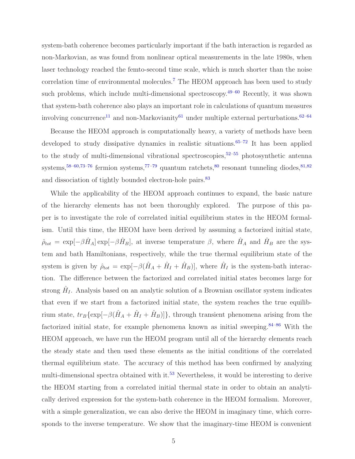system-bath coherence becomes particularly important if the bath interaction is regarded as non-Markovian, as was found from nonlinear optical measurements in the late 1980s, when laser technology reached the femto-second time scale, which is much shorter than the noise correlation time of environmental molecules.<sup>7</sup> The HEOM approach has been used to study such problems, which include multi-dimensional spectroscopy.  $49-60$  Recently, it was shown that system-bath coherence also plays an important role in calculations of quantum measures involving concurrence<sup>11</sup> and non-Markovianity<sup>61</sup> under multiple external perturbations.<sup>62–64</sup>

Because the HEOM approach is computationally heavy, a variety of methods have been developed to study dissipative dynamics in realistic situations.<sup>65–72</sup> It has been applied to the study of multi-dimensional vibrational spectroscopies,  $52-55$  photosynthetic antenna systems,<sup>58–60,73–76</sup> fermion systems,<sup>77–79</sup> quantum ratchets,<sup>80</sup> resonant tunneling diodes,<sup>81,82</sup> and dissociation of tightly bounded electron-hole pairs.<sup>83</sup>

While the applicability of the HEOM approach continues to expand, the basic nature of the hierarchy elements has not been thoroughly explored. The purpose of this paper is to investigate the role of correlated initial equilibrium states in the HEOM formalism. Until this time, the HEOM have been derived by assuming a factorized initial state,  $\hat{\rho}_{tot} = \exp[-\beta \hat{H}_A] \exp[-\beta \hat{H}_B],$  at inverse temperature  $\beta$ , where  $\hat{H}_A$  and  $\hat{H}_B$  are the system and bath Hamiltonians, respectively, while the true thermal equilibrium state of the system is given by  $\hat{\rho}_{tot} = \exp[-\beta(\hat{H}_A + \hat{H}_I + \hat{H}_B)],$  where  $\hat{H}_I$  is the system-bath interaction. The difference between the factorized and correlated initial states becomes large for strong  $\hat{H}_I$ . Analysis based on an analytic solution of a Brownian oscillator system indicates that even if we start from a factorized initial state, the system reaches the true equilibrium state,  $tr_B\{\exp[-\beta(\hat{H}_A + \hat{H}_I + \hat{H}_B)]\}$ , through transient phenomena arising from the factorized initial state, for example phenomena known as initial sweeping.<sup>84–86</sup> With the HEOM approach, we have run the HEOM program until all of the hierarchy elements reach the steady state and then used these elements as the initial conditions of the correlated thermal equilibrium state. The accuracy of this method has been confirmed by analyzing multi-dimensional spectra obtained with it.<sup>53</sup> Nevertheless, it would be interesting to derive the HEOM starting from a correlated initial thermal state in order to obtain an analytically derived expression for the system-bath coherence in the HEOM formalism. Moreover, with a simple generalization, we can also derive the HEOM in imaginary time, which corresponds to the inverse temperature. We show that the imaginary-time HEOM is convenient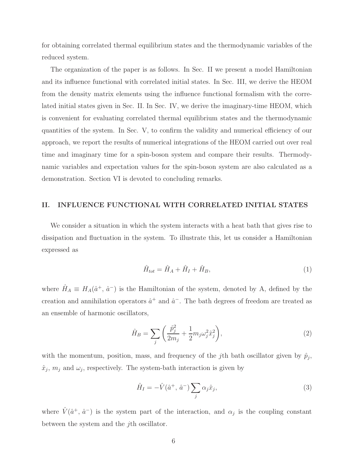for obtaining correlated thermal equilibrium states and the thermodynamic variables of the reduced system.

The organization of the paper is as follows. In Sec. II we present a model Hamiltonian and its influence functional with correlated initial states. In Sec. III, we derive the HEOM from the density matrix elements using the influence functional formalism with the correlated initial states given in Sec. II. In Sec. IV, we derive the imaginary-time HEOM, which is convenient for evaluating correlated thermal equilibrium states and the thermodynamic quantities of the system. In Sec. V, to confirm the validity and numerical efficiency of our approach, we report the results of numerical integrations of the HEOM carried out over real time and imaginary time for a spin-boson system and compare their results. Thermodynamic variables and expectation values for the spin-boson system are also calculated as a demonstration. Section VI is devoted to concluding remarks.

## II. INFLUENCE FUNCTIONAL WITH CORRELATED INITIAL STATES

We consider a situation in which the system interacts with a heat bath that gives rise to dissipation and fluctuation in the system. To illustrate this, let us consider a Hamiltonian expressed as

$$
\hat{H}_{tot} = \hat{H}_A + \hat{H}_I + \hat{H}_B,\tag{1}
$$

where  $\hat{H}_A \equiv H_A(\hat{a}^+, \hat{a}^-)$  is the Hamiltonian of the system, denoted by A, defined by the creation and annihilation operators  $\hat{a}^+$  and  $\hat{a}^-$ . The bath degrees of freedom are treated as an ensemble of harmonic oscillators,

$$
\hat{H}_B = \sum_j \left( \frac{\hat{p}_j^2}{2m_j} + \frac{1}{2} m_j \omega_j^2 \hat{x}_j^2 \right),\tag{2}
$$

with the momentum, position, mass, and frequency of the *j*th bath oscillator given by  $\hat{p}_j$ ,  $\hat{x}_j$ ,  $m_j$  and  $\omega_j$ , respectively. The system-bath interaction is given by

$$
\hat{H}_I = -\hat{V}(\hat{a}^+, \hat{a}^-) \sum_j \alpha_j \hat{x}_j,\tag{3}
$$

where  $\hat{V}(\hat{a}^+, \hat{a}^-)$  is the system part of the interaction, and  $\alpha_j$  is the coupling constant between the system and the jth oscillator.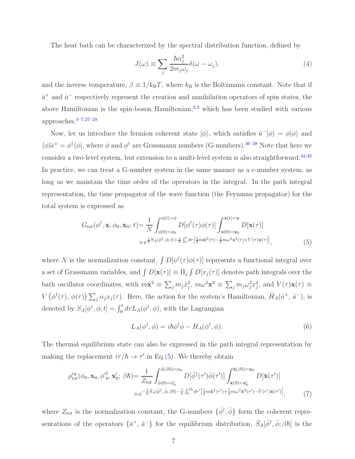The heat bath can be characterized by the spectral distribution function, defined by

$$
J(\omega) \equiv \sum_{j} \frac{\hbar \alpha_j^2}{2m_j \omega_j} \delta(\omega - \omega_j), \tag{4}
$$

and the inverse temperature,  $\beta \equiv 1/k_BT$ , where  $k_B$  is the Boltzmann constant. Note that if  $\hat{a}^+$  and  $\hat{a}^-$  respectively represent the creation and annihilation operators of spin states, the above Hamiltonian is the spin-boson Hamiltonian, $^{2,3}$  which has been studied with various approaches.5–7,27–29

Now, let us introduce the fermion coherent state  $|\phi\rangle$ , which satisfies  $\hat{a}^-|\phi\rangle = \phi|\phi\rangle$  and  $\langle \phi | \hat{a}^+ = \phi^{\dagger} \langle \phi |$ , where  $\phi$  and  $\phi^{\dagger}$  are Grassmann numbers (G-numbers).<sup>36–38</sup> Note that here we consider a two-level system, but extension to a multi-level system is also straightforward.<sup>42,43</sup> In practice, we can treat a G-number system in the same manner as a c-number system, as long as we maintain the time order of the operators in the integral. In the path integral representation, the time propagator of the wave function (the Feynman propagator) for the total system is expressed as

$$
G_{tot}(\phi^{\dagger}, \mathbf{x}, \phi_0, \mathbf{x}_0; t) = \frac{1}{N} \int_{\phi(0) = \phi_0}^{\phi(t) = \phi} D[\phi^{\dagger}(\tau)\phi(\tau)] \int_{\mathbf{x}(0) = \mathbf{x}_0}^{\mathbf{x}(t) = \mathbf{x}} D[\mathbf{x}(\tau)]
$$
  
 
$$
\times e^{\frac{i}{\hbar}S_A[\phi^{\dagger}, \phi; t] + \frac{i}{\hbar} \int_0^t d\tau \left[\frac{1}{2}m\dot{\mathbf{x}}^2(\tau) - \frac{1}{2}m\omega^2 \mathbf{x}^2(\tau) + V(\tau)\mathbf{x}(\tau)\right]},
$$
(5)

where N is the normalization constant,  $\int D[\phi^{\dagger}(\tau)\phi(\tau)]$  represents a functional integral over a set of Grassmann variables, and  $\int D[\mathbf{x}(\tau)] \equiv \prod_j \int D[x_j(\tau)]$  denotes path integrals over the bath oscillator coordinates, with  $m\dot{\mathbf{x}}^2 \equiv \sum_j m_j \dot{x}_j^2$ ,  $m\omega^2 \mathbf{x}^2 \equiv \sum_j m_j \omega_j^2 x_j^2$ , and  $V(\tau)\mathbf{x}(\tau) \equiv$  $V\left(\phi^{\dagger}(\tau), \phi(\tau)\right) \sum_{j} \alpha_j x_j(\tau)$ . Here, the action for the system's Hamiltonian,  $\hat{H}_A(\hat{a}^+,\hat{a}^-)$ , is denoted by  $S_A[\phi^{\dagger}, \phi; t] = \int_0^t d\tau L_A(\phi^{\dagger}, \phi)$ , with the Lagrangian

$$
L_A(\phi^\dagger, \phi) = i\hbar \phi^\dagger \dot{\phi} - H_A(\phi^\dagger, \phi). \tag{6}
$$

The thermal equilibrium state can also be expressed in the path integral representation by making the replacement  $i\tau/\hbar \rightarrow \tau'$  in Eq.(5). We thereby obtain

$$
\rho_{tot}^{eq}(\phi_0, \mathbf{x}_0, {\phi'}_0^{\dagger}, \mathbf{x}'_0; \beta \hbar) = \frac{1}{Z_{tot}} \int_{\bar{\phi}(0) = \phi'_0}^{\bar{\phi}(\beta \hbar) = \phi_0} D[\bar{\phi}^{\dagger}(\tau') \bar{\phi}(\tau')] \int_{\bar{\mathbf{x}}(0) = \mathbf{x}'_0}^{\bar{\mathbf{x}}(\beta \hbar) = \mathbf{x}_0} D[\bar{\mathbf{x}}(\tau')] \times e^{-\frac{1}{\hbar} \bar{S}_A[\bar{\phi}^{\dagger}, \bar{\phi}; \beta \hbar] - \frac{1}{\hbar} \int_0^{\beta \hbar} d\tau' \left[\frac{1}{2} m \dot{\mathbf{x}}^2(\tau') + \frac{1}{2} m \omega^2 \bar{\mathbf{x}}^2(\tau') - \bar{V}(\tau') \bar{\mathbf{x}}(\tau')\right]},
$$
\n(7)

where  $Z_{tot}$  is the normalization constant, the G-numbers  $\{\bar{\phi}^{\dagger}, \bar{\phi}\}$  form the coherent representations of the operators  $\{\hat{a}^+, \hat{a}^-\}$  for the equilibrium distribution,  $\bar{S}_A[\bar{\phi}^{\dagger}, \bar{\phi}; \beta \hbar]$  is the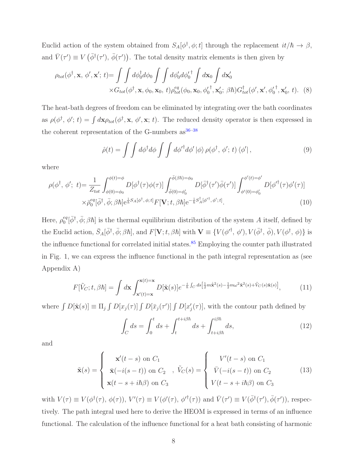Euclid action of the system obtained from  $S_A[\phi^{\dagger}, \phi; t]$  through the replacement  $it/\hbar \to \beta$ , and  $\bar{V}(\tau') \equiv V(\bar{\phi}^{\dagger}(\tau'), \bar{\phi}(\tau'))$ . The total density matrix elements is then given by

$$
\rho_{tot}(\phi^{\dagger}, \mathbf{x}, \phi', \mathbf{x}'; t) = \int \int d\phi_0^{\dagger} d\phi_0 \int \int d\phi'_0 d\phi'_0{}^{\dagger} \int d\mathbf{x}_0 \int d\mathbf{x}'_0
$$
  
 
$$
\times G_{tot}(\phi^{\dagger}, \mathbf{x}, \phi_0, \mathbf{x}_0, t) \rho_{tot}^{eq}(\phi_0, \mathbf{x}_0, \phi_0^{\dagger}, \mathbf{x}'_0; \beta \hbar) G_{tot}^{\dagger}(\phi', \mathbf{x}', \phi_0^{\dagger}, \mathbf{x}'_0, t). \tag{8}
$$

The heat-bath degrees of freedom can be eliminated by integrating over the bath coordinates as  $\rho(\phi^{\dagger}, \phi'; t) = \int d\mathbf{x} \rho_{tot}(\phi^{\dagger}, \mathbf{x}, \phi', \mathbf{x}; t)$ . The reduced density operator is then expressed in the coherent representation of the G-numbers  $\rm as^{36-38}$ 

$$
\hat{\rho}(t) = \int \int d\phi^{\dagger} d\phi \int \int d\phi'^{\dagger} d\phi' \, |\phi\rangle \, \rho(\phi^{\dagger}, \, \phi'; \, t) \, \langle \phi' | \,, \tag{9}
$$

where

$$
\rho(\phi^{\dagger}, \phi'; t) = \frac{1}{Z_{tot}} \int_{\phi(0) = \phi_0}^{\phi(t) = \phi} D[\phi^{\dagger}(\tau)\phi(\tau)] \int_{\bar{\phi}(0) = \phi'_0}^{\bar{\phi}(\beta\hbar) = \phi_0} D[\bar{\phi}^{\dagger}(\tau')\bar{\phi}(\tau')] \int_{\phi'(0) = \phi'_0}^{\phi'(t) = \phi'} D[\phi'^{\dagger}(\tau)\phi'(\tau)]
$$
  
 
$$
\times \bar{\rho}_0^{eq}[\bar{\phi}^{\dagger}, \bar{\phi}; \beta\hbar] e^{\frac{i}{\hbar}S_A[\phi^{\dagger}, \phi; t]} F[\mathbf{V}; t, \beta\hbar] e^{-\frac{i}{\hbar}S_A^{\dagger}[\phi'^{\dagger}, \phi'; t]}.
$$
 (10)

Here,  $\rho_0^{eq}$  $e^{\epsilon q}[\bar{\phi}^{\dagger}, \bar{\phi}; \beta \hbar]$  is the thermal equilibrium distribution of the system A itself, defined by the Euclid action,  $\bar{S}_A[\bar{\phi}^{\dagger}, \bar{\phi}; \beta \hbar]$ , and  $F[\mathbf{V}; t, \beta \hbar]$  with  $\mathbf{V} \equiv \{V(\phi'^{\dagger}, \phi'), V(\bar{\phi}^{\dagger}, \bar{\phi}), V(\phi^{\dagger}, \phi)\}$  is the influence functional for correlated initial states.<sup>85</sup> Employing the counter path illustrated in Fig. 1, we can express the influence functional in the path integral representation as (see Appendix A)

$$
F[\tilde{V}_C;t,\beta\hbar] = \int d\mathbf{x} \int_{\mathbf{x}'(t)=\mathbf{x}}^{\mathbf{x}(t)=\mathbf{x}} D[\tilde{\mathbf{x}}(s)] e^{-\frac{i}{\hbar} \int_C ds \left[\frac{1}{2}m\dot{\mathbf{x}}^2(s) - \frac{1}{2}m\omega^2 \dot{\mathbf{x}}^2(s) + \tilde{V}_C(s)\dot{\mathbf{x}}(s)\right]},\tag{11}
$$

where  $\int D[\tilde{\mathbf{x}}(s)] \equiv \Pi_j \int D[x_j(\tau)] \int D[\bar{x}_j(\tau')] \int D[x'_j(\tau)]$ , with the contour path defined by

$$
\int_C ds = \int_0^t ds + \int_t^{t + i\beta \hbar} ds + \int_{t + i\beta \hbar}^{i\beta \hbar} ds,
$$
\n(12)

and

$$
\tilde{\mathbf{x}}(s) = \begin{cases}\n\mathbf{x}'(t-s) \text{ on } C_1 \\
\bar{\mathbf{x}}(-i(s-t)) \text{ on } C_2 \\
\mathbf{x}(t-s+i\hbar\beta) \text{ on } C_3\n\end{cases}, \quad \tilde{V}_C(s) = \begin{cases}\nV'(t-s) \text{ on } C_1 \\
\bar{V}(-i(s-t)) \text{ on } C_2 \\
V(t-s+i\hbar\beta) \text{ on } C_3\n\end{cases}
$$
\n(13)

with  $V(\tau) \equiv V(\phi^{\dagger}(\tau), \phi(\tau)), V'(\tau) \equiv V(\phi'(\tau), {\phi'}^{\dagger}(\tau))$  and  $\bar{V}(\tau') \equiv V(\bar{\phi}^{\dagger}(\tau'), \bar{\phi}(\tau'))$ , respectively. The path integral used here to derive the HEOM is expressed in terms of an influence functional. The calculation of the influence functional for a heat bath consisting of harmonic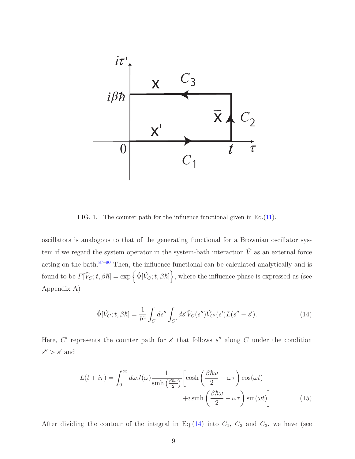

FIG. 1. The counter path for the influence functional given in Eq.(11).

oscillators is analogous to that of the generating functional for a Brownian oscillator system if we regard the system operator in the system-bath interaction  $\hat{V}$  as an external force acting on the bath.87–90 Then, the influence functional can be calculated analytically and is found to be  $F[\tilde{V}_C;t,\beta\hbar] = \exp\left\{\tilde{\Phi}[\tilde{V}_C;t,\beta\hbar]\right\}$ , where the influence phase is expressed as (see Appendix A)

$$
\tilde{\Phi}[\tilde{V}_C;t,\beta\hbar] = \frac{1}{\hbar^2} \int_C ds'' \int_{C'} ds' \tilde{V}_C(s'') \tilde{V}_{C'}(s') L(s'' - s'). \tag{14}
$$

Here,  $C'$  represents the counter path for  $s'$  that follows  $s''$  along  $C$  under the condition  $s'' > s'$  and

$$
L(t + i\tau) = \int_0^\infty d\omega J(\omega) \frac{1}{\sinh\left(\frac{\beta \hbar \omega}{2}\right)} \left[ \cosh\left(\frac{\beta \hbar \omega}{2} - \omega \tau\right) \cos(\omega t) + i \sinh\left(\frac{\beta \hbar \omega}{2} - \omega \tau\right) \sin(\omega t) \right].
$$
 (15)

After dividing the contour of the integral in Eq.(14) into  $C_1$ ,  $C_2$  and  $C_3$ , we have (see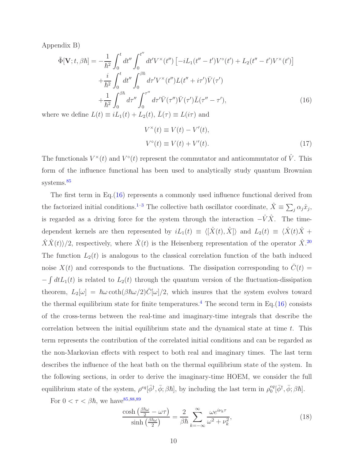Appendix B)

$$
\tilde{\Phi}[\mathbf{V}; t, \beta \hbar] = -\frac{1}{\hbar^2} \int_0^t dt'' \int_0^{t''} dt' V^{\times}(t'') \left[ -iL_1(t'' - t')V^{\circ}(t') + L_2(t'' - t')V^{\times}(t') \right] \n+ \frac{i}{\hbar^2} \int_0^t dt'' \int_0^{\beta \hbar} d\tau' V^{\times}(t'') L(t'' + i\tau') \bar{V}(\tau') \n+ \frac{1}{\hbar^2} \int_0^{\beta \hbar} d\tau'' \int_0^{\tau''} d\tau' \bar{V}(\tau'') \bar{L}(\tau'' - \tau'),
$$
\n(16)

where we define  $L(t) \equiv iL_1(t) + L_2(t)$ ,  $L(\tau) \equiv L(i\tau)$  and

$$
V^{\times}(t) \equiv V(t) - V'(t),
$$
  
\n
$$
V^{\circ}(t) \equiv V(t) + V'(t).
$$
\n(17)

The functionals  $V^{\times}(t)$  and  $V^{\circ}(t)$  represent the commutator and anticommutator of  $\hat{V}$ . This form of the influence functional has been used to analytically study quantum Brownian systems.<sup>85</sup>

The first term in Eq.(16) represents a commonly used influence functional derived from the factorized initial conditions.<sup>1–3</sup> The collective bath oscillator coordinate,  $\hat{X} \equiv \sum_j \alpha_j \hat{x}_j$ , is regarded as a driving force for the system through the interaction  $-\hat{V}\hat{X}$ . The timedependent kernels are then represented by  $iL_1(t) \equiv \langle [\hat{X}(t), \hat{X}] \rangle$  and  $L_2(t) \equiv \langle \hat{X}(t) \hat{X} +$  $\langle \hat{X}\hat{X}(t)\rangle/2$ , respectively, where  $\hat{X}(t)$  is the Heisenberg representation of the operator  $\hat{X}$ <sup>20</sup> The function  $L_2(t)$  is analogous to the classical correlation function of the bath induced noise  $X(t)$  and corresponds to the fluctuations. The dissipation corresponding to  $\overline{C}(t)$  =  $-\int dtL_1(t)$  is related to  $L_2(t)$  through the quantum version of the fluctuation-dissipation theorem,  $L_2[\omega] = \hbar \omega \coth(\beta \hbar \omega/2) \bar{C}[\omega]/2$ , which insures that the system evolves toward the thermal equilibrium state for finite temperatures.<sup>4</sup> The second term in Eq.(16) consists of the cross-terms between the real-time and imaginary-time integrals that describe the correlation between the initial equilibrium state and the dynamical state at time  $t$ . This term represents the contribution of the correlated initial conditions and can be regarded as the non-Markovian effects with respect to both real and imaginary times. The last term describes the influence of the heat bath on the thermal equilibrium state of the system. In the following sections, in order to derive the imaginary-time HOEM, we consider the full equilibrium state of the system,  $\rho^{eq}[\bar{\phi}^{\dagger}, \bar{\phi}; \beta \hbar]$ , by including the last term in  $\rho_0^{eq}$  $_{0}^{eq}[\bar{\phi}^{\dagger}, \bar{\phi}; \beta\hbar].$ 

For  $0 < \tau < \beta \hbar$ , we have <sup>85,88,89</sup>

$$
\frac{\cosh\left(\frac{\beta\hbar\omega}{2} - \omega\tau\right)}{\sinh\left(\frac{\beta\hbar\omega}{2}\right)} = \frac{2}{\beta\hbar} \sum_{k=-\infty}^{\infty} \frac{\omega e^{i\nu_k \tau}}{\omega^2 + \nu_k^2},\tag{18}
$$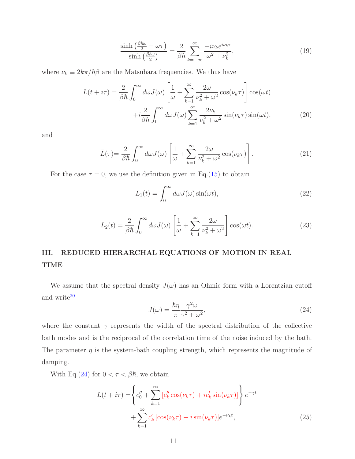$$
\frac{\sinh\left(\frac{\beta\hbar\omega}{2} - \omega\tau\right)}{\sinh\left(\frac{\beta\hbar\omega}{2}\right)} = \frac{2}{\beta\hbar} \sum_{k=-\infty}^{\infty} \frac{-i\nu_k e^{i\nu_k \tau}}{\omega^2 + \nu_k^2},\tag{19}
$$

where  $\nu_k \equiv 2k\pi/\hbar\beta$  are the Matsubara frequencies. We thus have

$$
L(t + i\tau) = \frac{2}{\beta \hbar} \int_0^\infty d\omega J(\omega) \left[ \frac{1}{\omega} + \sum_{k=1}^\infty \frac{2\omega}{\nu_k^2 + \omega^2} \cos(\nu_k \tau) \right] \cos(\omega t) + i \frac{2}{\beta \hbar} \int_0^\infty d\omega J(\omega) \sum_{k=1}^\infty \frac{2\nu_k}{\nu_k^2 + \omega^2} \sin(\nu_k \tau) \sin(\omega t), \tag{20}
$$

and

$$
\bar{L}(\tau) = \frac{2}{\beta \hbar} \int_0^\infty d\omega J(\omega) \left[ \frac{1}{\omega} + \sum_{k=1}^\infty \frac{2\omega}{\nu_k^2 + \omega^2} \cos(\nu_k \tau) \right]. \tag{21}
$$

For the case  $\tau = 0$ , we use the definition given in Eq.(15) to obtain

$$
L_1(t) = \int_0^\infty d\omega J(\omega) \sin(\omega t),\tag{22}
$$

$$
L_2(t) = \frac{2}{\beta \hbar} \int_0^\infty d\omega J(\omega) \left[ \frac{1}{\omega} + \sum_{k=1}^\infty \frac{2\omega}{\nu_k^2 + \omega^2} \right] \cos(\omega t). \tag{23}
$$

# III. REDUCED HIERARCHAL EQUATIONS OF MOTION IN REAL TIME

We assume that the spectral density  $J(\omega)$  has an Ohmic form with a Lorentzian cutoff and write  $\rm{^{20}}$ 

$$
J(\omega) = \frac{\hbar \eta}{\pi} \frac{\gamma^2 \omega}{\gamma^2 + \omega^2},\tag{24}
$$

where the constant  $\gamma$  represents the width of the spectral distribution of the collective bath modes and is the reciprocal of the correlation time of the noise induced by the bath. The parameter  $\eta$  is the system-bath coupling strength, which represents the magnitude of damping.

With Eq.(24) for  $0 < \tau < \beta \hbar$ , we obtain

$$
L(t + i\tau) = \left\{ c_0'' + \sum_{k=1}^{\infty} \left[ c_k'' \cos(\nu_k \tau) + i c_k' \sin(\nu_k \tau) \right] \right\} e^{-\gamma t} + \sum_{k=1}^{\infty} c_k' \left[ \cos(\nu_k \tau) - i \sin(\nu_k \tau) \right] e^{-\nu_k t}, \tag{25}
$$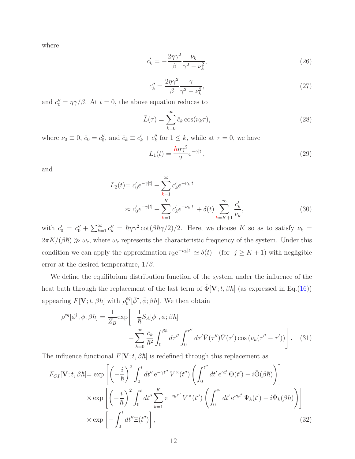where

$$
c'_k = -\frac{2\eta\gamma^2}{\beta} \frac{\nu_k}{\gamma^2 - \nu_k^2},\tag{26}
$$

$$
c_k'' = \frac{2\eta\gamma^2}{\beta} \frac{\gamma}{\gamma^2 - \nu_k^2},\tag{27}
$$

and  $c''_0 = \eta \gamma / \beta$ . At  $t = 0$ , the above equation reduces to

$$
\bar{L}(\tau) = \sum_{k=0}^{\infty} \bar{c}_k \cos(\nu_k \tau),
$$
\n(28)

where  $\nu_0 \equiv 0$ ,  $\bar{c}_0 = c_0''$ , and  $\bar{c}_k \equiv c_k' + c_k''$  for  $1 \leq k$ , while at  $\tau = 0$ , we have

$$
L_1(t) = \frac{\hbar \eta \gamma^2}{2} e^{-\gamma |t|},\tag{29}
$$

and

$$
L_2(t) = c'_0 e^{-\gamma|t|} + \sum_{k=1}^{\infty} c'_k e^{-\nu_k|t|}
$$
  

$$
\approx c'_0 e^{-\gamma|t|} + \sum_{k=1}^{K} c'_k e^{-\nu_k|t|} + \delta(t) \sum_{k=K+1}^{\infty} \frac{c'_k}{\nu_k},
$$
 (30)

with  $c'_0 = c''_0 + \sum_{k=1}^{\infty} c''_k = \hbar \eta \gamma^2 \cot(\beta \hbar \gamma/2)/2$ . Here, we choose K so as to satisfy  $\nu_k =$  $2\pi K/(\beta\hbar) \gg \omega_c$ , where  $\omega_c$  represents the characteristic frequency of the system. Under this condition we can apply the approximation  $\nu_k e^{-\nu_k|t|} \simeq \delta(t)$  (for  $j \geq K + 1$ ) with negligible error at the desired temperature,  $1/\beta$ .

We define the equilibrium distribution function of the system under the influence of the heat bath through the replacement of the last term of  $\tilde{\Phi}[\mathbf{V}; t, \beta \hbar]$  (as expressed in Eq.(16)) appearing  $F[\mathbf{V}; t, \beta \hbar]$  with  $\rho_0^{eq}$  $_{0}^{eq}[\bar{\phi}^{\dagger}, \bar{\phi}; \beta\hbar]$ . We then obtain

$$
\rho^{eq}[\bar{\phi}^{\dagger}, \bar{\phi}; \beta \hbar] = \frac{1}{Z_B} \exp\left[-\frac{1}{\hbar} \bar{S}_A[\bar{\phi}^{\dagger}, \bar{\phi}; \beta \hbar] + \sum_{k=0}^{\infty} \frac{\bar{c}_k}{\hbar^2} \int_0^{\beta \hbar} d\tau'' \int_0^{\tau''} d\tau' \bar{V}(\tau'') \bar{V}(\tau') \cos\left(\nu_k(\tau'' - \tau')\right) \right]. \tag{31}
$$

The influence functional  $F[\mathbf{V};t,\beta\hbar]$  is redefined through this replacement as

$$
F_{CI}[\mathbf{V}; t, \beta \hbar] = \exp\left[\left(-\frac{i}{\hbar}\right)^2 \int_0^t dt'' \,\mathrm{e}^{-\gamma t''} \, V^\times(t'') \left(\int_0^{t''} dt' \,\mathrm{e}^{\gamma t'} \, \Theta(t') - i \bar{\Theta}(\beta \hbar)\right)\right]
$$

$$
\times \exp\left[\left(-\frac{i}{\hbar}\right)^2 \int_0^t dt'' \sum_{k=1}^K \mathrm{e}^{-\nu_k t''} \, V^\times(t'') \left(\int_0^{t''} dt' \,\mathrm{e}^{\nu_k t'} \, \Psi_k(t') - i \bar{\Psi}_k(\beta \hbar)\right)\right]
$$

$$
\times \exp\left[-\int_0^t dt'' \Xi(t'')\right],\tag{32}
$$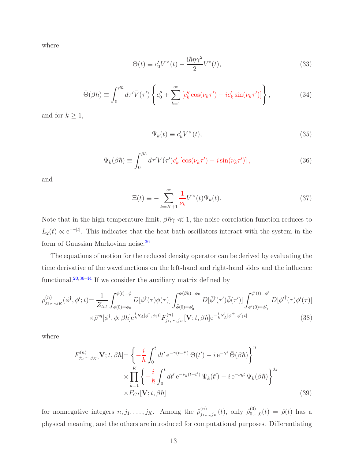where

$$
\Theta(t) \equiv c_0' V^\times(t) - \frac{i\hbar \eta \gamma^2}{2} V^\circ(t),\tag{33}
$$

$$
\bar{\Theta}(\beta \hbar) \equiv \int_0^{\beta \hbar} d\tau' \bar{V}(\tau') \left\{ c_0'' + \sum_{k=1}^{\infty} \left[ c_k'' \cos(\nu_k \tau') + i c_k' \sin(\nu_k \tau') \right] \right\},\tag{34}
$$

and for  $k \geq 1$ ,

$$
\Psi_k(t) \equiv c'_k V^\times(t),\tag{35}
$$

$$
\bar{\Psi}_k(\beta \hbar) \equiv \int_0^{\beta \hbar} d\tau' \bar{V}(\tau') c'_k \left[ \cos(\nu_k \tau') - i \sin(\nu_k \tau') \right],\tag{36}
$$

and

$$
\Xi(t) \equiv -\sum_{k=K+1}^{\infty} \frac{1}{\nu_k} V^{\times}(t) \Psi_k(t). \tag{37}
$$

Note that in the high temperature limit,  $\beta \hbar \gamma \ll 1$ , the noise correlation function reduces to  $L_2(t) \propto e^{-\gamma|t|}$ . This indicates that the heat bath oscillators interact with the system in the form of Gaussian Markovian noise.<sup>36</sup>

The equations of motion for the reduced density operator can be derived by evaluating the time derivative of the wavefunctions on the left-hand and right-hand sides and the influence functional.20,36–44 If we consider the auxiliary matrix defined by

$$
\rho_{j_1,\dots,j_K}^{(n)}(\phi^{\dagger},\phi';t) = \frac{1}{Z_{tot}} \int_{\phi(0)=\phi_0}^{\phi(t)=\phi} D[\phi^{\dagger}(\tau)\phi(\tau)] \int_{\bar{\phi}(0)=\phi'_0}^{\bar{\phi}(\beta\hbar)=\phi_0} D[\bar{\phi}^{\dagger}(\tau')\bar{\phi}(\tau')] \int_{\phi'(0)=\phi'_0}^{\phi'(t)=\phi'} D[\phi'^{\dagger}(\tau)\phi'(\tau)]
$$
  
 
$$
\times \bar{\rho}^{eq}[\bar{\phi}^{\dagger},\bar{\phi};\beta\hbar] e^{\frac{i}{\hbar}S_A[\phi^{\dagger},\phi;t]} F_{j_1,\dots,j_K}^{(n)}[\mathbf{V};t,\beta\hbar] e^{-\frac{i}{\hbar}S_A^{\dagger}[\phi'^{\dagger},\phi';t]} \tag{38}
$$

where

$$
F_{j_1,\dots,j_K}^{(n)}[\mathbf{V};t,\beta\hbar] = \left\{-\frac{i}{\hbar}\int_0^t dt' e^{-\gamma(t-t')} \Theta(t') - i e^{-\gamma t} \bar{\Theta}(\beta\hbar)\right\}^n
$$

$$
\times \prod_{k=1}^K \left\{-\frac{i}{\hbar}\int_0^t dt' e^{-\nu_k(t-t')} \Psi_k(t') - i e^{-\nu_k t} \bar{\Psi}_k(\beta\hbar)\right\}^{j_k}
$$

$$
\times F_{CI}[\mathbf{V};t,\beta\hbar]
$$
(39)

for nonnegative integers  $n, j_1, \ldots, j_K$ . Among the  $\hat{\rho}_{j_1,\ldots,j_K}^{(n)}$  $j_{1,...,j_{K}}^{(n)}(t)$ , only  $\hat{\rho}_{0,..}^{(0)}$  $\hat{\rho}_{0,...,0}^{(0)}(t) = \hat{\rho}(t)$  has a physical meaning, and the others are introduced for computational purposes. Differentiating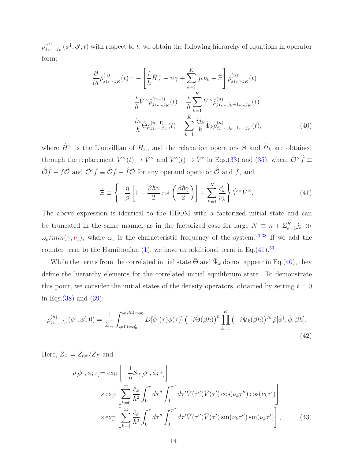$\rho_{j_1}^{(n)}$  $j_{j_1,\ldots,j_K}(\phi^{\dagger},\phi';t)$  with respect to t, we obtain the following hierarchy of equations in operator form:

$$
\frac{\partial}{\partial t} \hat{\rho}_{j_1,\dots,j_K}^{(n)}(t) = -\left[\frac{i}{\hbar} \hat{H}_A^{\times} + n\gamma + \sum_{k=1}^K j_k \nu_k + \hat{\Xi}\right] \hat{\rho}_{j_1,\dots,j_K}^{(n)}(t) \n- \frac{i}{\hbar} \hat{V}^{\times} \hat{\rho}_{j_1,\dots,j_K}^{(n+1)}(t) - \frac{i}{\hbar} \sum_{k=1}^K \hat{V}^{\times} \hat{\rho}_{j_1,\dots,j_k+1,\dots,j_K}^{(n)}(t) \n- \frac{i n}{\hbar} \hat{\Theta} \hat{\rho}_{j_1,\dots,j_K}^{(n-1)}(t) - \sum_{k=1}^K \frac{i j_k}{\hbar} \hat{\Psi}_k \hat{\rho}_{j_1,\dots,j_k-1,\dots,j_K}^{(n)}(t),
$$
\n(40)

where  $\hat{H}^{\times}$  is the Liouvillian of  $\hat{H}_A$ , and the relaxation operators  $\hat{\Theta}$  and  $\hat{\Psi}_k$  are obtained through the replacement  $V^{\times}(t) \to \hat{V}^{\times}$  and  $V^{\circ}(t) \to \hat{V}^{\circ}$  in Eqs.(33) and (35), where  $\hat{\mathcal{O}}^{\times}\hat{f} \equiv$  $\hat{\mathcal{O}}\hat{f} - \hat{f}\hat{\mathcal{O}}$  and  $\hat{\mathcal{O}}^{\circ}\hat{f} \equiv \hat{\mathcal{O}}\hat{f} + \hat{f}\hat{\mathcal{O}}$  for any operator  $\hat{\mathcal{O}}$  and  $\hat{f}$ , and

$$
\hat{\Xi} \equiv \left\{ -\frac{\eta}{\beta} \left[ 1 - \frac{\beta \hbar \gamma}{2} \cot \left( \frac{\beta \hbar \gamma}{2} \right) \right] + \sum_{k=1}^{K} \frac{c'_k}{\nu_k} \right\} \hat{V}^{\times} \hat{V}^{\times}.
$$
 (41)

The above expression is identical to the HEOM with a factorized initial state and can be truncated in the same manner as in the factorized case for large  $N \equiv n + \sum_{k=1}^{K} j_k$   $\gg$  $\omega_c/min(\gamma, \nu_1)$ , where  $\omega_c$  is the characteristic frequency of the system.<sup>20,38</sup> If we add the counter term to the Hamiltonian  $(1)$ , we have an additional term in Eq.(41).<sup>53</sup>

While the terms from the correlated initial state  $\bar{\Theta}$  and  $\bar{\Psi}_k$  do not appear in Eq.(40), they define the hierarchy elements for the correlated initial equilibrium state. To demonstrate this point, we consider the initial states of the density operators, obtained by setting  $t = 0$ in Eqs.(38) and (39):

$$
\rho_{j_1,\dots,j_K}^{(n)}(\phi^\dagger,\phi';0) = \frac{1}{Z_A} \int_{\bar{\phi}(0)=\phi_0'}^{\bar{\phi}(\beta\hbar)=\phi_0} D[\bar{\phi}^\dagger(\tau)\bar{\phi}(\tau)] \left(-i\bar{\Theta}(\beta\hbar)\right)^n \prod_{k=1}^K \left(-i\bar{\Psi}_k(\beta\hbar)\right)^{j_k} \bar{\rho}[\bar{\phi}^\dagger,\bar{\phi};\beta\hbar].\tag{42}
$$

Here,  $Z_A = Z_{tot}/Z_B$  and

$$
\bar{\rho}[\bar{\phi}^{\dagger}, \bar{\phi}; \tau] = \exp\left[-\frac{1}{\hbar}\bar{S}_{A}[\bar{\phi}^{\dagger}, \bar{\phi}; \tau]\right] \times \exp\left[\sum_{k=0}^{\infty} \frac{\bar{c}_{k}}{\hbar^{2}} \int_{0}^{\tau} d\tau'' \int_{0}^{\tau''} d\tau' \bar{V}(\tau'') \bar{V}(\tau') \cos(\nu_{k}\tau'') \cos(\nu_{k}\tau')\right] \times \exp\left[\sum_{k=1}^{\infty} \frac{\bar{c}_{k}}{\hbar^{2}} \int_{0}^{\tau} d\tau'' \int_{0}^{\tau''} d\tau' \bar{V}(\tau'') \bar{V}(\tau') \sin(\nu_{k}\tau'') \sin(\nu_{k}\tau')\right],
$$
\n(43)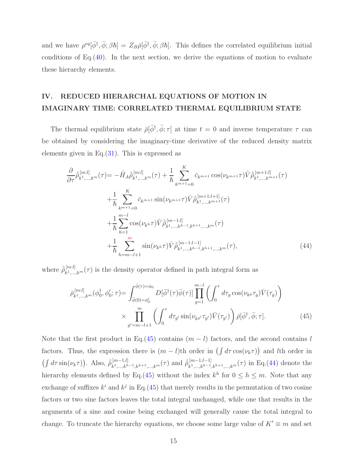and we have  $\rho^{eq}[\bar{\phi}^{\dagger}, \bar{\phi}; \beta\hbar] = Z_B \bar{\rho}[\bar{\phi}^{\dagger}, \bar{\phi}; \beta\hbar]$ . This defines the correlated equilibrium initial conditions of Eq. $(40)$ . In the next section, we derive the equations of motion to evaluate these hierarchy elements.

## IV. REDUCED HIERARCHAL EQUATIONS OF MOTION IN IMAGINARY TIME: CORRELATED THERMAL EQUILIBRIUM STATE

The thermal equilibrium state  $\bar{\rho}[\bar{\phi}^{\dagger}, \bar{\phi}; \tau]$  at time  $t = 0$  and inverse temperature  $\tau$  can be obtained by considering the imaginary-time derivative of the reduced density matrix elements given in Eq. $(31)$ . This is expressed as

$$
\frac{\partial}{\partial \tau} \hat{\rho}_{k^1,\dots,k^m}^{[m:l]}(\tau) = -\hat{H}_A \hat{\rho}_{k^1,\dots,k^m}^{[m:l]}(\tau) + \frac{1}{\hbar} \sum_{k^{m+1}=0}^K \bar{c}_{k^{m+1}} \cos(\nu_{k^{m+1}} \tau) \hat{V} \hat{\rho}_{k^1,\dots,k^{m+1}}^{[m+1:l]}(\tau) \n+ \frac{1}{\hbar} \sum_{k^{m+1}=0}^K \bar{c}_{k^{m+1}} \sin(\nu_{k^{m+1}} \tau) \hat{V} \hat{\rho}_{k^1,\dots,k^{m+1}}^{[m+1:l+1]}(\tau) \n+ \frac{1}{\hbar} \sum_{h=1}^{m-l} \cos(\nu_{k^h} \tau) \hat{V} \hat{\rho}_{k^1,\dots,k^{h-1},k^{h+1},\dots,k^m}^{[m-1:l]}(\tau) \n+ \frac{1}{\hbar} \sum_{h=m-l+1}^m \sin(\nu_{k^h} \tau) \hat{V} \hat{\rho}_{k^1,\dots,k^{h-1},k^{h+1},\dots,k^m}^{[m-1:l-1]}(\tau),
$$
\n(44)

where  $\hat{\bar{\rho}}_{k1}^{[m:l]}$  $\mathbb{R}^{n}[t]}_{k^1,\ldots,k^m}(\tau)$  is the density operator defined in path integral form as

$$
\bar{\rho}_{k^1,\dots,k^m}^{[m:l]}(\phi_0^{\dagger},\phi_0';\tau) = \int_{\bar{\phi}(0)=\phi_0'}^{\bar{\phi}(\tau)=\phi_0} D[\bar{\phi}^{\dagger}(\tau)\bar{\phi}(\tau)] \prod_{g=1}^{m-l} \left( \int_0^{\tau} d\tau_g \cos(\nu_{k^g}\tau_g) \bar{V}(\tau_g) \right)
$$
\n
$$
\times \prod_{g'=m-l+1}^{m} \left( \int_0^{\tau} d\tau_{g'} \sin(\nu_{k^{g'}}\tau_{g'}) \bar{V}(\tau_{g'}) \right) \bar{\rho}[\bar{\phi}^{\dagger},\bar{\phi};\tau]. \tag{45}
$$

Note that the first product in Eq.(45) contains  $(m - l)$  factors, and the second contains l factors. Thus, the expression there is  $(m - l)$ th order in  $(\int d\tau \cos(\nu_k \tau))$  and lth order in  $\left(\int d\tau \sin(\nu_k \tau)\right)$ . Also,  $\hat{\rho}_{k^1,\dots,k^h}^{[m-1,l]}$  $\hat{p}_{k^1,...,k^{h-1},k^{h+1},...,k^m}^{[m-1,l]}(\tau)$  and  $\hat{\bar{\rho}}_{k^1,...,k^{h-1},k^{h-1}}^{[m-1,l]}$  $\lim_{k_1,\dots,k^{h-1},k^{h+1},\dots,k^m}(\tau)$  in Eq.(44) denote the hierarchy elements defined by Eq.(45) without the index  $k^h$  for  $0 \le h \le m$ . Note that any exchange of suffixes  $k^i$  and  $k^j$  in Eq.(45) that merely results in the permutation of two cosine factors or two sine factors leaves the total integral unchanged, while one that results in the arguments of a sine and cosine being exchanged will generally cause the total integral to change. To truncate the hierarchy equations, we choose some large value of  $K' \equiv m$  and set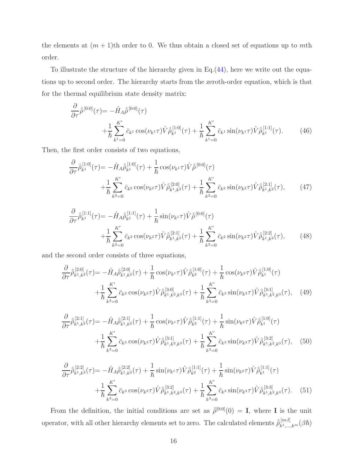the elements at  $(m + 1)$ th order to 0. We thus obtain a closed set of equations up to mth order.

To illustrate the structure of the hierarchy given in Eq.(44), here we write out the equations up to second order. The hierarchy starts from the zeroth-order equation, which is that for the thermal equilibrium state density matrix:

$$
\frac{\partial}{\partial \tau} \hat{\rho}^{[0:0]}(\tau) = -\hat{H}_A \hat{\rho}^{[0:0]}(\tau) \n+ \frac{1}{\hbar} \sum_{k^1=0}^{K'} \bar{c}_{k^1} \cos(\nu_{k^1} \tau) \hat{V} \hat{\rho}_{k^1}^{[1:0]}(\tau) + \frac{1}{\hbar} \sum_{k^1=0}^{K'} \bar{c}_{k^1} \sin(\nu_{k^1} \tau) \hat{V} \hat{\rho}_{k^1}^{[1:1]}(\tau).
$$
\n(46)

Then, the first order consists of two equations,

$$
\frac{\partial}{\partial \tau} \hat{\bar{\rho}}_{k}^{[1:0]}(\tau) = -\hat{H}_{A} \hat{\bar{\rho}}_{k}^{[1:0]}(\tau) + \frac{1}{\hbar} \cos(\nu_{k} \tau) \hat{V} \hat{\bar{\rho}}^{[0:0]}(\tau) \n+ \frac{1}{\hbar} \sum_{k^2=0}^{K'} \bar{c}_{k^2} \cos(\nu_{k^2} \tau) \hat{V} \hat{\bar{\rho}}_{k^1,k^2}^{[2:0]}(\tau) + \frac{1}{\hbar} \sum_{k^2=0}^{K'} \bar{c}_{k^2} \sin(\nu_{k^2} \tau) \hat{V} \hat{\bar{\rho}}_{k^1,k^2}^{[2:1]}(\tau),
$$
\n(47)

$$
\frac{\partial}{\partial \tau} \hat{\bar{\rho}}_{k}^{[1:1]}(\tau) = -\hat{H}_{A} \hat{\bar{\rho}}_{k}^{[1:1]}(\tau) + \frac{1}{\hbar} \sin(\nu_{k} \tau) \hat{V} \hat{\bar{\rho}}^{[0:0]}(\tau) \n+ \frac{1}{\hbar} \sum_{k^2=0}^{K'} \bar{c}_{k^2} \cos(\nu_{k^2} \tau) \hat{V} \hat{\bar{\rho}}_{k^1,k^2}^{[2:1]}(\tau) + \frac{1}{\hbar} \sum_{k^2=0}^{K'} \bar{c}_{k^2} \sin(\nu_{k^2} \tau) \hat{V} \hat{\bar{\rho}}_{k^1,k^2}^{[2:2]}(\tau),
$$
\n(48)

and the second order consists of three equations,

$$
\frac{\partial}{\partial \tau} \hat{\rho}_{k^1,k^2}^{[2:0]}(\tau) = -\hat{H}_A \hat{\rho}_{k^1,k^2}^{[2:0]}(\tau) + \frac{1}{\hbar} \cos(\nu_{k^1} \tau) \hat{V} \hat{\rho}_{k^2}^{[1:0]}(\tau) + \frac{1}{\hbar} \cos(\nu_{k^2} \tau) \hat{V} \hat{\rho}_{k^1}^{[1:0]}(\tau) \n+ \frac{1}{\hbar} \sum_{k^3=0}^{K'} \bar{c}_{k^3} \cos(\nu_{k^3} \tau) \hat{V} \hat{\rho}_{k^1,k^2,k^3}^{[3:0]}(\tau) + \frac{1}{\hbar} \sum_{k^3=0}^{K'} \bar{c}_{k^3} \sin(\nu_{k^3} \tau) \hat{V} \hat{\rho}_{k^1,k^2,k^3}^{[3:1]}(\tau), \quad (49)
$$

$$
\frac{\partial}{\partial \tau} \hat{\rho}_{k^1,k^2}^{[2:1]}(\tau) = -\hat{H}_A \hat{\rho}_{k^1,k^2}^{[2:1]}(\tau) + \frac{1}{\hbar} \cos(\nu_{k^1} \tau) \hat{V} \hat{\rho}_{k^2}^{[1:1]}(\tau) + \frac{1}{\hbar} \sin(\nu_{k^2} \tau) \hat{V} \hat{\rho}_{k^1}^{[1:0]}(\tau) \n+ \frac{1}{\hbar} \sum_{k^3=0}^{K'} \bar{c}_{k^3} \cos(\nu_{k^3} \tau) \hat{V} \hat{\rho}_{k^1,k^2,k^3}^{[3:1]}(\tau) + \frac{1}{\hbar} \sum_{k^3=0}^{K'} \bar{c}_{k^3} \sin(\nu_{k^3} \tau) \hat{V} \hat{\rho}_{k^1,k^2,k^3}^{[3:2]}(\tau), \quad (50)
$$

$$
\frac{\partial}{\partial \tau} \hat{\rho}_{k^1,k^2}^{[2:2]}(\tau) = -\hat{H}_A \hat{\rho}_{k^1,k^2}^{[2:2]}(\tau) + \frac{1}{\hbar} \sin(\nu_{k^1} \tau) \hat{V} \hat{\rho}_{k^2}^{[1:1]}(\tau) + \frac{1}{\hbar} \sin(\nu_{k^2} \tau) \hat{V} \hat{\rho}_{k^1}^{[1:1]}(\tau) \n+ \frac{1}{\hbar} \sum_{k^3=0}^{K'} \bar{c}_{k^3} \cos(\nu_{k^3} \tau) \hat{V} \hat{\rho}_{k^1,k^2,k^3}^{[3:2]}(\tau) + \frac{1}{\hbar} \sum_{k^3=0}^{K'} \bar{c}_{k^3} \sin(\nu_{k^3} \tau) \hat{V} \hat{\rho}_{k^1,k^2,k^3}^{[3:3]}(\tau). \tag{51}
$$

From the definition, the initial conditions are set as  $\hat{\rho}^{[0:0]}(0) = I$ , where I is the unit operator, with all other hierarchy elements set to zero. The calculated elements  $\hat{\rho}_{k1}^{[m:l]}$  $_{k_{1},...,k_{m}}^{[m:l]}(\beta\hbar)$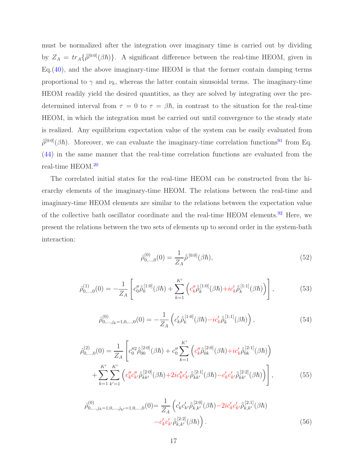must be normalized after the integration over imaginary time is carried out by dividing by  $Z_A = tr_A\{\hat{\rho}^{[0:0]}(\beta \hbar)\}\$ . A significant difference between the real-time HEOM, given in  $Eq. (40)$ , and the above imaginary-time HEOM is that the former contain damping terms proportional to  $\gamma$  and  $\nu_k$ , whereas the latter contain sinusoidal terms. The imaginary-time HEOM readily yield the desired quantities, as they are solved by integrating over the predetermined interval from  $\tau = 0$  to  $\tau = \beta \hbar$ , in contrast to the situation for the real-time HEOM, in which the integration must be carried out until convergence to the steady state is realized. Any equilibrium expectation value of the system can be easily evaluated from  $\hat{\rho}^{[0:0]}(\beta\hbar)$ . Moreover, we can evaluate the imaginary-time correlation functions<sup>91</sup> from Eq. (44) in the same manner that the real-time correlation functions are evaluated from the real-time HEOM.<sup>20</sup>

The correlated initial states for the real-time HEOM can be constructed from the hierarchy elements of the imaginary-time HEOM. The relations between the real-time and imaginary-time HEOM elements are similar to the relations between the expectation value of the collective bath oscillator coordinate and the real-time HEOM elements.<sup>92</sup> Here, we present the relations between the two sets of elements up to second order in the system-bath interaction:

$$
\hat{\rho}_{0,\ldots,0}^{(0)}(0) = \frac{1}{Z_A} \hat{\bar{\rho}}^{[0:0]}(\beta \hbar),\tag{52}
$$

$$
\hat{\rho}_{0,\ldots,0}^{(1)}(0) = -\frac{1}{Z_A} \left[ c_0'' \hat{\bar{\rho}}_0^{[1:0]}(\beta \hbar) + \sum_{k=1}^{K'} \left( c_k'' \hat{\bar{\rho}}_k^{[1:0]}(\beta \hbar) + i c_k' \hat{\bar{\rho}}_k^{[1:1]}(\beta \hbar) \right) \right],\tag{53}
$$

$$
\hat{\rho}_{0,\dots,j_k=1,0,\dots,0}^{(0)}(0) = -\frac{1}{Z_A} \left( c'_k \hat{\bar{\rho}}_k^{[1:0]}(\beta \hbar) - ic'_k \hat{\bar{\rho}}_k^{[1:1]}(\beta \hbar) \right),\tag{54}
$$

$$
\hat{\rho}_{0,\ldots,0}^{(2)}(0) = \frac{1}{Z_A} \left[ c_0''^2 \hat{\rho}_{00}^{[2:0]}(\beta \hbar) + c_0'' \sum_{k=1}^{K'} \left( c_k'' \hat{\rho}_{0k}^{[2:0]}(\beta \hbar) + ic_k' \hat{\rho}_{0k}^{[2:1]}(\beta \hbar) \right) + \sum_{k=1}^{K'} \sum_{k'=1}^{K'} \left( c_k'' c_{k'}'' \hat{\rho}_{kk'}^{[2:0]}(\beta \hbar) + 2ic_k'' c_{k'}' \hat{\rho}_{kk'}^{[2:1]}(\beta \hbar) - c_k' c_{k'}' \hat{\rho}_{kk'}^{[2:2]}(\beta \hbar) \right) \right],
$$
\n(55)

$$
\hat{\rho}_{0,\ldots,j_k=1,0,\ldots,j_{k'}=1,0,\ldots,0}^{(0)}(0) = \frac{1}{Z_A} \left( c'_k c'_k \hat{\rho}_{k,k'}^{[2:0]}(\beta \hbar) - 2ic'_k c'_{k'} \hat{\rho}_{k,k'}^{[2:1]}(\beta \hbar) - c'_k c'_{k'} \hat{\rho}_{k,k'}^{[2:2]}(\beta \hbar) \right).
$$
\n(56)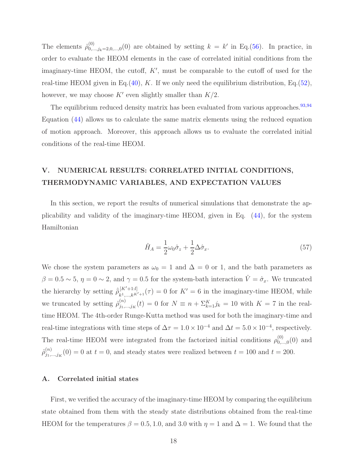The elements  $\hat{\rho}_{0...}^{(0)}$  $_{0,\dots,j_k=2,0,\dots,0}^{(0)}(0)$  are obtained by setting  $k = k'$  in Eq.(56). In practice, in order to evaluate the HEOM elements in the case of correlated initial conditions from the imaginary-time HEOM, the cutoff,  $K'$ , must be comparable to the cutoff of used for the real-time HEOM given in Eq.(40),  $K$ . If we only need the equilibrium distribution, Eq.(52), however, we may choose  $K'$  even slightly smaller than  $K/2$ .

The equilibrium reduced density matrix has been evaluated from various approaches.  $93,94$ Equation (44) allows us to calculate the same matrix elements using the reduced equation of motion approach. Moreover, this approach allows us to evaluate the correlated initial conditions of the real-time HEOM.

## V. NUMERICAL RESULTS: CORRELATED INITIAL CONDITIONS, THERMODYNAMIC VARIABLES, AND EXPECTATION VALUES

In this section, we report the results of numerical simulations that demonstrate the applicability and validity of the imaginary-time HEOM, given in Eq. (44), for the system Hamiltonian

$$
\hat{H}_A = \frac{1}{2}\omega_0 \hat{\sigma}_z + \frac{1}{2}\Delta \hat{\sigma}_x.
$$
\n(57)

We chose the system parameters as  $\omega_0 = 1$  and  $\Delta = 0$  or 1, and the bath parameters as  $\beta = 0.5 \sim 5$ ,  $\eta = 0 \sim 2$ , and  $\gamma = 0.5$  for the system-bath interaction  $\hat{V} = \hat{\sigma}_x$ . We truncated the hierarchy by setting  $\hat{\rho}_{\mu_1}^{[K'+1:l]}$  $\mu_{k_1,\ldots,k^{K'+1,l}}^{[K'+1:l]}(\tau) = 0$  for  $K' = 6$  in the imaginary-time HEOM, while we truncated by setting  $\hat{\rho}_{i_1}^{(n)}$  $j_{j_1,...,j_K}(t) = 0$  for  $N \equiv n + \sum_{k=1}^{K} j_k = 10$  with  $K = 7$  in the realtime HEOM. The 4th-order Runge-Kutta method was used for both the imaginary-time and real-time integrations with time steps of  $\Delta \tau = 1.0 \times 10^{-4}$  and  $\Delta t = 5.0 \times 10^{-4}$ , respectively. The real-time HEOM were integrated from the factorized initial conditions  $\rho_{0...}^{(0)}$  $\mathcal{C}^{(0)}_{0,\ldots,0}(0)$  and  $\hat{\rho}_{j_1..}^{(n)}$  $j_{j_1,\dots,j_K}(0) = 0$  at  $t = 0$ , and steady states were realized between  $t = 100$  and  $t = 200$ .

#### A. Correlated initial states

First, we verified the accuracy of the imaginary-time HEOM by comparing the equilibrium state obtained from them with the steady state distributions obtained from the real-time HEOM for the temperatures  $\beta = 0.5, 1.0,$  and 3.0 with  $\eta = 1$  and  $\Delta = 1$ . We found that the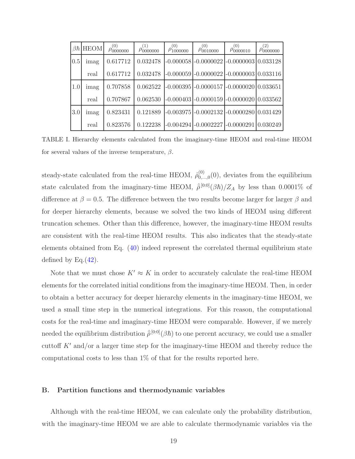|                  | $\beta \hbar$ HEOM | (0)<br>$\rho_{0000000}$ | (1)<br>$\rho_{0000000}$ | (0)<br>$\rho_{1000000}^{5000000}$ | (0)<br>$\rho_{0010000}$ | (0)<br>$\rho_{0000010}$                          | (2)<br>$\rho_{0000000}$ |
|------------------|--------------------|-------------------------|-------------------------|-----------------------------------|-------------------------|--------------------------------------------------|-------------------------|
| 0.5              | imag               | 0.617712                | 0.032478                |                                   |                         | $-0.000058$ $-0.0000022$ $-0.0000003$ $0.033128$ |                         |
|                  | real               | 0.617712                | 0.032478                |                                   |                         | $-0.000059$ $-0.0000022$ $-0.0000003$ $0.033116$ |                         |
| 1.0              | imag               | 0.707858                | 0.062522                |                                   |                         | $-0.000395$ $-0.0000157$ $-0.0000020$ $0.033651$ |                         |
|                  | real               | 0.707867                | 0.062530                |                                   |                         | $-0.000403$ $-0.0000159$ $-0.0000020$ $0.033562$ |                         |
| 3.0 <sub>l</sub> | imag               | 0.823431                | 0.121889                |                                   |                         | $-0.003975$ $-0.0002132$ $-0.0000280$ $0.031429$ |                         |
|                  | real               | 0.823576                | 0.122238                |                                   |                         | $-0.004294$ $-0.0002227$ $-0.0000291$ $0.030249$ |                         |

TABLE I. Hierarchy elements calculated from the imaginary-time HEOM and real-time HEOM for several values of the inverse temperature,  $\beta$ .

steady-state calculated from the real-time HEOM,  $\hat{\rho}_{0...}^{(0)}$  $_{0,\ldots,0}^{(0)}(0)$ , deviates from the equilibrium state calculated from the imaginary-time HEOM,  $\hat{\rho}^{[0:0]}(\beta \hbar)/Z_A$  by less than 0.0001% of difference at  $\beta = 0.5$ . The difference between the two results become larger for larger  $\beta$  and for deeper hierarchy elements, because we solved the two kinds of HEOM using different truncation schemes. Other than this difference, however, the imaginary-time HEOM results are consistent with the real-time HEOM results. This also indicates that the steady-state elements obtained from Eq. (40) indeed represent the correlated thermal equilibrium state defined by Eq. $(42)$ .

Note that we must chose  $K' \approx K$  in order to accurately calculate the real-time HEOM elements for the correlated initial conditions from the imaginary-time HEOM. Then, in order to obtain a better accuracy for deeper hierarchy elements in the imaginary-time HEOM, we used a small time step in the numerical integrations. For this reason, the computational costs for the real-time and imaginary-time HEOM were comparable. However, if we merely needed the equilibrium distribution  $\hat{\bar{\rho}}^{[0:0]}(\beta \hbar)$  to one percent accuracy, we could use a smaller cuttoff  $K'$  and/or a larger time step for the imaginary-time HEOM and thereby reduce the computational costs to less than 1% of that for the results reported here.

#### B. Partition functions and thermodynamic variables

Although with the real-time HEOM, we can calculate only the probability distribution, with the imaginary-time HEOM we are able to calculate thermodynamic variables via the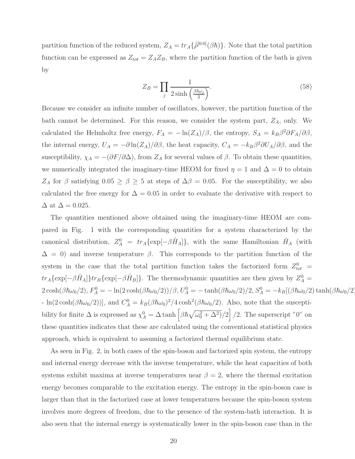partition function of the reduced system,  $Z_A = tr_A \{\hat{\bar{\rho}}^{[0:0]}(\beta \hbar)\}\.$  Note that the total partition function can be expressed as  $Z_{tot} = Z_A Z_B$ , where the partition function of the bath is given by

$$
Z_B = \prod_j \frac{1}{2\sinh\left(\frac{\beta\hbar\omega_j}{2}\right)}.\tag{58}
$$

Because we consider an infinite number of oscillators, however, the partition function of the bath cannot be determined. For this reason, we consider the system part,  $Z_A$ , only. We calculated the Helmholtz free energy,  $F_A = -\ln(Z_A)/\beta$ , the entropy,  $S_A = k_B \beta^2 \partial F_A/\partial \beta$ , the internal energy,  $U_A = -\partial \ln(Z_A)/\partial \beta$ , the heat capacity,  $C_A = -k_B \beta^2 \partial U_A/\partial \beta$ , and the susceptibility,  $\chi_A = -(\partial F/\partial \Delta)$ , from  $Z_A$  for several values of  $\beta$ . To obtain these quantities, we numerically integrated the imaginary-time HEOM for fixed  $\eta = 1$  and  $\Delta = 0$  to obtain  $Z_A$  for  $\beta$  satisfying  $0.05 \ge \beta \ge 5$  at steps of  $\Delta \beta = 0.05$ . For the susceptibility, we also calculated the free energy for  $\Delta = 0.05$  in order to evaluate the derivative with respect to  $\Delta$  at  $\Delta = 0.025$ .

The quantities mentioned above obtained using the imaginary-time HEOM are compared in Fig. 1 with the corresponding quantities for a system characterized by the canonical distribution,  $Z_A^0 = tr_A \{ \exp[-\beta \hat{H}_A] \}$ , with the same Hamiltonian  $\hat{H}_A$  (with  $\Delta = 0$ ) and inverse temperature  $\beta$ . This corresponds to the partition function of the system in the case that the total partition function takes the factorized form  $Z_{tot}^{0}$  =  $tr_A\{\exp[-\beta \hat{H}_A]\}$  $tr_B\{\exp[-\beta \hat{H}_B]\}$ . The thermodynamic quantities are then given by  $Z_A^0 =$  $2\cosh(\beta\hbar\omega_0/2), F_A^0 = -\ln(2\cosh(\beta\hbar\omega_0/2))/\beta, U_A^0 = -\tanh(\beta\hbar\omega_0/2)/2, S_A^0 = -k_B[(\beta\hbar\omega_0/2)\tanh(\beta\hbar\omega_0/2)]$ - ln(2 cosh( $\beta \hbar \omega_0/2$ )), and  $C_A^0 = k_B(\beta \hbar \omega_0)^2/4 \cosh^2(\beta \hbar \omega_0/2)$ . Also, note that the susceptibility for finite  $\Delta$  is expressed as  $\chi_A^0 = \Delta \tanh \left[ \beta \hbar \sqrt{\omega_0^2 + \Delta^2} \right] / 2$ . The superscript "0" on these quantities indicates that these are calculated using the conventional statistical physics approach, which is equivalent to assuming a factorized thermal equilibrium state.

As seen in Fig. 2, in both cases of the spin-boson and factorized spin system, the entropy and internal energy decrease with the inverse temperature, while the heat capacities of both systems exhibit maxima at inverse temperatures near  $\beta = 2$ , where the thermal excitation energy becomes comparable to the excitation energy. The entropy in the spin-boson case is larger than that in the factorized case at lower temperatures because the spin-boson system involves more degrees of freedom, due to the presence of the system-bath interaction. It is also seen that the internal energy is systematically lower in the spin-boson case than in the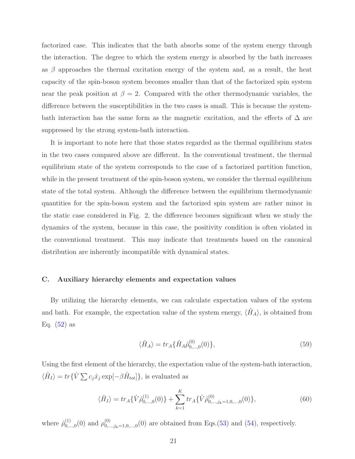factorized case. This indicates that the bath absorbs some of the system energy through the interaction. The degree to which the system energy is absorbed by the bath increases as  $\beta$  approaches the thermal excitation energy of the system and, as a result, the heat capacity of the spin-boson system becomes smaller than that of the factorized spin system near the peak position at  $\beta = 2$ . Compared with the other thermodynamic variables, the difference between the susceptibilities in the two cases is small. This is because the systembath interaction has the same form as the magnetic excitation, and the effects of  $\Delta$  are suppressed by the strong system-bath interaction.

It is important to note here that those states regarded as the thermal equilibrium states in the two cases compared above are different. In the conventional treatment, the thermal equilibrium state of the system corresponds to the case of a factorized partition function, while in the present treatment of the spin-boson system, we consider the thermal equilibrium state of the total system. Although the difference between the equilibrium thermodynamic quantities for the spin-boson system and the factorized spin system are rather minor in the static case considered in Fig. 2, the difference becomes significant when we study the dynamics of the system, because in this case, the positivity condition is often violated in the conventional treatment. This may indicate that treatments based on the canonical distribution are inherently incompatible with dynamical states.

#### C. Auxiliary hierarchy elements and expectation values

By utilizing the hierarchy elements, we can calculate expectation values of the system and bath. For example, the expectation value of the system energy,  $\langle \hat{H}_A \rangle$ , is obtained from Eq.  $(52)$  as

$$
\langle \hat{H}_A \rangle = tr_A \{ \hat{H}_A \hat{\rho}_{0,\dots,0}^{(0)}(0) \},\tag{59}
$$

Using the first element of the hierarchy, the expectation value of the system-bath interaction,  $\langle \hat{H}_I \rangle = tr \{ \hat{V} \sum c_j \hat{x}_j \exp[-\beta \hat{H}_{tot}] \},$  is evaluated as

$$
\langle \hat{H}_I \rangle = tr_A \{ \hat{V} \hat{\rho}_{0,\dots,0}^{(1)}(0) \} + \sum_{k=1}^K tr_A \{ \hat{V} \hat{\rho}_{0,\dots,j_k=1,0,\dots,0}^{(0)}(0) \},\tag{60}
$$

where  $\hat{\rho}_{0...}^{(1)}$  $_{0,...,0}^{(1)}(0)$  and  $\rho_{0,..}^{(0)}$  $\mathbb{D}_{0,\ldots,j_k=1,0,\ldots,0}^{(0)}(0)$  are obtained from Eqs.(53) and (54), respectively.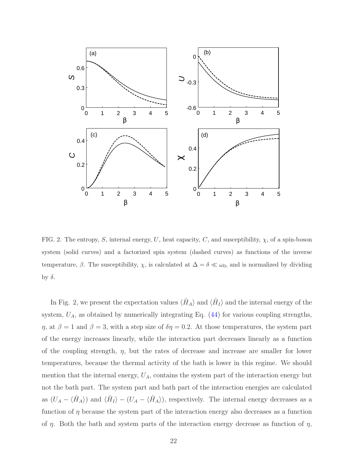

FIG. 2. The entropy, S, internal energy, U, heat capacity, C, and susceptibility,  $\chi$ , of a spin-boson system (solid curves) and a factorized spin system (dashed curves) as functions of the inverse temperature,  $\beta$ . The susceptibility,  $\chi$ , is calculated at  $\Delta = \delta \ll \omega_0$ , and is normalized by dividing by  $\delta$ .

In Fig. 2, we present the expectation values  $\langle \hat{H}_A \rangle$  and  $\langle \hat{H}_I \rangle$  and the internal energy of the system,  $U_A$ , as obtained by numerically integrating Eq.  $(44)$  for various coupling strengths,  $η$ , at  $β = 1$  and  $β = 3$ , with a step size of  $δη = 0.2$ . At those temperatures, the system part of the energy increases linearly, while the interaction part decreases linearly as a function of the coupling strength,  $\eta$ , but the rates of decrease and increase are smaller for lower temperatures, because the thermal activity of the bath is lower in this regime. We should mention that the internal energy,  $U_A$ , contains the system part of the interaction energy but not the bath part. The system part and bath part of the interaction energies are calculated as  $(U_A - \langle \hat{H}_A \rangle)$  and  $\langle \hat{H}_I \rangle - (U_A - \langle \hat{H}_A \rangle)$ , respectively. The internal energy decreases as a function of  $\eta$  because the system part of the interaction energy also decreases as a function of  $\eta$ . Both the bath and system parts of the interaction energy decrease as function of  $\eta$ ,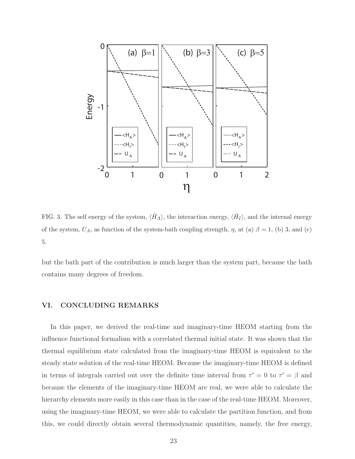

FIG. 3. The self energy of the system,  $\langle \hat{H}_A \rangle$ , the interaction energy,  $\langle \hat{H}_I \rangle$ , and the internal energy of the system,  $U_A$ , as function of the system-bath coupling strength,  $\eta$ , at (a)  $\beta = 1$ , (b) 3, and (c) 5.

but the bath part of the contribution is much larger than the system part, because the bath contains many degrees of freedom.

## VI. CONCLUDING REMARKS

In this paper, we derived the real-time and imaginary-time HEOM starting from the influence functional formalism with a correlated thermal initial state. It was shown that the thermal equilibrium state calculated from the imaginary-time HEOM is equivalent to the steady state solution of the real-time HEOM. Because the imaginary-time HEOM is defined in terms of integrals carried out over the definite time interval from  $\tau' = 0$  to  $\tau' = \beta$  and because the elements of the imaginary-time HEOM are real, we were able to calculate the hierarchy elements more easily in this case than in the case of the real-time HEOM. Moreover, using the imaginary-time HEOM, we were able to calculate the partition function, and from this, we could directly obtain several thermodynamic quantities, namely, the free energy,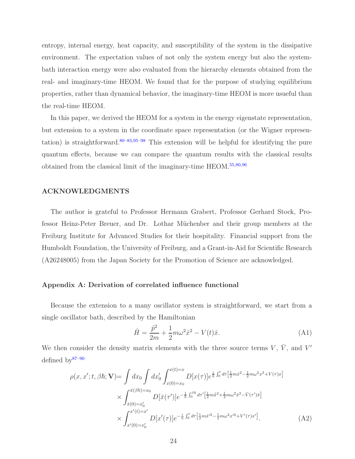entropy, internal energy, heat capacity, and susceptibility of the system in the dissipative environment. The expectation values of not only the system energy but also the systembath interaction energy were also evaluated from the hierarchy elements obtained from the real- and imaginary-time HEOM. We found that for the purpose of studying equilibrium properties, rather than dynamical behavior, the imaginary-time HEOM is more usueful than the real-time HEOM.

In this paper, we derived the HEOM for a system in the energy eigenstate representation, but extension to a system in the coordinate space representation (or the Wigner representation) is straightforward.<sup>80–83,95–98</sup> This extension will be helpful for identifying the pure quantum effects, because we can compare the quantum results with the classical results obtained from the classical limit of the imaginary-time HEOM.55,80,96

### ACKNOWLEDGMENTS

The author is grateful to Professor Hermann Grabert, Professor Gerhard Stock, Professor Heinz-Peter Breuer, and Dr. Lothar M¨uchenber and their group members at the Freiburg Institute for Advanced Studies for their hospitality. Financial support from the Humboldt Foundation, the University of Freiburg, and a Grant-in-Aid for Scientific Research (A26248005) from the Japan Society for the Promotion of Science are acknowledged.

#### Appendix A: Derivation of correlated influence functional

Because the extension to a many oscillator system is straightforward, we start from a single oscillator bath, described by the Hamiltonian

$$
\hat{H} = \frac{\hat{p}^2}{2m} + \frac{1}{2}m\omega^2 \hat{x}^2 - V(t)\hat{x}.
$$
\n(A1)

We then consider the density matrix elements with the three source terms  $V, \bar{V},$  and  $V'$ defined by $87-90$ 

$$
\rho(x, x'; t, \beta \hbar; \mathbf{V}) = \int dx_0 \int dx'_0 \int_{x(0) = x_0}^{x(t) = x} D[x(\tau)] e^{\frac{i}{\hbar} \int_0^t d\tau \left[\frac{1}{2}m\dot{x}^2 - \frac{1}{2}m\omega^2 x^2 + V(\tau)x\right]} \times \int_{\bar{x}(0) = x'_0}^{\bar{x}(\beta \hbar) = x_0} D[\bar{x}(\tau')] e^{-\frac{1}{\hbar} \int_0^{\beta \hbar} d\tau' \left[\frac{1}{2}m\dot{x}^2 + \frac{1}{2}m\omega^2 \bar{x}^2 - \bar{V}(\tau')\bar{x}\right]} \times \int_{x'(0) = x'_0}^{x'(t) = x'} D[x'(\tau)] e^{-\frac{i}{\hbar} \int_0^t d\tau \left[\frac{1}{2}m\dot{x}'^2 - \frac{1}{2}m\omega^2 x'^2 + V'(\tau)x'\right]}.
$$
\n(A2)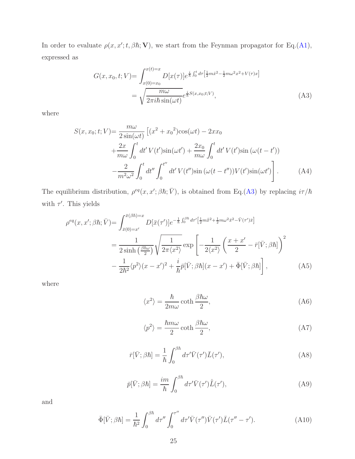In order to evaluate  $\rho(x, x'; t, \beta \hbar; V)$ , we start from the Feynman propagator for Eq.(A1), expressed as

$$
G(x, x_0, t; V) = \int_{x(0) = x_0}^{x(t) = x} D[x(\tau)] e^{\frac{i}{\hbar} \int_0^t d\tau \left[\frac{1}{2}m\dot{x}^2 - \frac{1}{2}m\omega^2 x^2 + V(\tau)x\right]} = \sqrt{\frac{m\omega}{2\pi i\hbar \sin(\omega t)}} e^{\frac{i}{\hbar}S(x, x_0; t; V)},
$$
(A3)

where

$$
S(x, x_0; t; V) = \frac{m\omega}{2\sin(\omega t)} \left[ (x^2 + x_0^2)\cos(\omega t) - 2xx_0 + \frac{2x}{m\omega} \int_0^t dt' V(t')\sin(\omega t') + \frac{2x_0}{m\omega} \int_0^t dt' V(t')\sin(\omega(t - t')) - \frac{2}{m^2\omega^2} \int_0^t dt'' \int_0^{t''} dt' V(t'')\sin(\omega(t - t''))V(t')\sin(\omega t') \right].
$$
 (A4)

The equilibrium distribution,  $\rho^{eq}(x, x'; \beta \hbar; \bar{V})$ , is obtained from Eq.(A3) by replacing  $i\tau/\hbar$ with  $\tau'$ . This yields

$$
\rho^{eq}(x, x'; \beta \hbar; \bar{V}) = \int_{\bar{x}(0) = x'}^{\bar{x}(\beta \hbar) = x} D[\bar{x}(\tau')] e^{-\frac{1}{\hbar} \int_0^{\beta \hbar} d\tau' \left[\frac{1}{2} m \dot{\bar{x}}^2 + \frac{1}{2} m \omega^2 \bar{x}^2 - \bar{V}(\tau') \bar{x}\right]} \n= \frac{1}{2 \sinh\left(\frac{\beta \hbar \omega}{2}\right)} \sqrt{\frac{1}{2\pi \langle x^2 \rangle}} \exp\left[-\frac{1}{2 \langle x^2 \rangle} \left(\frac{x + x'}{2} - \bar{r}[\bar{V}; \beta \hbar]\right)^2 \n- \frac{1}{2\hbar^2} \langle p^2 \rangle (x - x')^2 + \frac{i}{\hbar} \bar{p}[\bar{V}; \beta \hbar](x - x') + \bar{\Phi}[\bar{V}; \beta \hbar]\right],
$$
\n(A5)

where

$$
\langle x^2 \rangle = \frac{\hbar}{2m\omega} \coth \frac{\beta \hbar \omega}{2},\tag{A6}
$$

$$
\langle p^2 \rangle = \frac{\hbar m \omega}{2} \coth \frac{\beta \hbar \omega}{2},\tag{A7}
$$

$$
\bar{r}[\bar{V};\beta\hbar] = \frac{1}{\hbar} \int_0^{\beta\hbar} d\tau' \bar{V}(\tau') \bar{L}(\tau'),\tag{A8}
$$

$$
\bar{p}[\bar{V};\beta\hbar] = \frac{im}{\hbar} \int_0^{\beta\hbar} d\tau' \bar{V}(\tau') \dot{\bar{L}}(\tau'),\tag{A9}
$$

and

$$
\bar{\Phi}[\bar{V};\beta\hbar] = \frac{1}{\hbar^2} \int_0^{\beta\hbar} d\tau'' \int_0^{\tau''} d\tau' \bar{V}(\tau'') \bar{V}(\tau') \bar{L}(\tau'' - \tau'). \tag{A10}
$$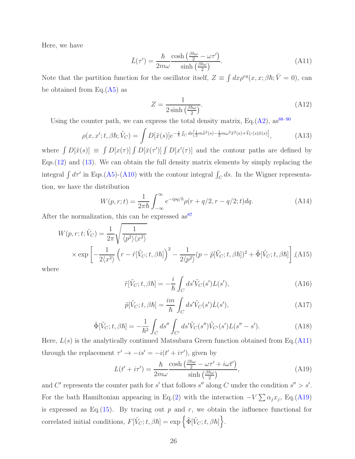Here, we have

$$
\bar{L}(\tau') = \frac{\hbar}{2m\omega} \frac{\cosh\left(\frac{\beta\hbar\omega}{2} - \omega\tau'\right)}{\sinh\left(\frac{\beta\hbar\omega}{2}\right)}.\tag{A11}
$$

Note that the partition function for the oscillator itself,  $Z \equiv \int dx \rho^{eq}(x, x; \beta \hbar; \bar{V} = 0)$ , can be obtained from Eq. $(A5)$  as

$$
Z = \frac{1}{2\sinh\left(\frac{\beta\hbar\omega}{2}\right)}.\tag{A12}
$$

Using the counter path, we can express the total density matrix, Eq.(A2),  $as^{88-90}$ 

$$
\rho(x, x'; t, \beta \hbar; \tilde{V}_C) = \int D[\tilde{x}(s)] e^{-\frac{i}{\hbar} \int_C ds \left[\frac{1}{2} m \dot{\tilde{x}}^2(s) - \frac{1}{2} m \omega^2 \tilde{x}^2(s) + \tilde{V}_C(s) \tilde{x}(s)\right]},
$$
(A13)

where  $\int D[\tilde{x}(s)] \equiv \int D[x(\tau)] \int D[\bar{x}(\tau')] \int D[x'(\tau)]$  and the contour paths are defined by Eqs.(12) and (13). We can obtain the full density matrix elements by simply replacing the integral  $\int d\tau'$  in Eqs.(A5)-(A10) with the contour integral  $\int_C ds$ . In the Wigner representation, we have the distribution

$$
W(p,r;t) = \frac{1}{2\pi\hbar} \int_{-\infty}^{\infty} e^{-ipq/\hbar} \rho(r+q/2, r-q/2; t) dq.
$$
 (A14)

After the normalization, this can be expressed as  $87$ 

$$
W(p,r;t;\tilde{V}_C) = \frac{1}{2\pi} \sqrt{\frac{1}{\langle p^2 \rangle \langle x^2 \rangle}}
$$
  
 
$$
\times \exp \left[ -\frac{1}{2\langle x^2 \rangle} \left( r - \tilde{r} [\tilde{V}_C; t, \beta \hbar] \right)^2 - \frac{1}{2\langle p^2 \rangle} (p - \tilde{p} [\tilde{V}_C; t, \beta \hbar])^2 + \tilde{\Phi} [\tilde{V}_C; t, \beta \hbar] \right],
$$
 (A15)

where

$$
\tilde{r}[\tilde{V}_C;t,\beta\hbar] = -\frac{i}{\hbar} \int_C ds' \tilde{V}_C(s')L(s'),\tag{A16}
$$

$$
\tilde{p}[\tilde{V}_C;t,\beta\hbar] = \frac{im}{\hbar} \int_C ds' \tilde{V}_C(s') \dot{L}(s'),\tag{A17}
$$

$$
\tilde{\Phi}[\tilde{V}_C; t, \beta \hbar] = -\frac{1}{\hbar^2} \int_C ds'' \int_{C'} ds' \tilde{V}_C(s'') \tilde{V}_{C'}(s') L(s'' - s'). \tag{A18}
$$

Here,  $L(s)$  is the analytically continued Matsubara Green function obtained from Eq.(A11) through the replacement  $\tau' \to -is' = -i(t' + i\tau')$ , given by

$$
L(t' + i\tau') = \frac{\hbar}{2m\omega} \frac{\cosh\left(\frac{\beta\hbar\omega}{2} - \omega\tau' + i\omega t'\right)}{\sinh\left(\frac{\beta\hbar\omega}{2}\right)},\tag{A19}
$$

and C' represents the counter path for s' that follows s'' along C under the condition  $s'' > s'$ . For the bath Hamiltonian appearing in Eq.(2) with the interaction  $-V\sum_{i} \alpha_i x_i$ , Eq.(A19) is expressed as Eq.(15). By tracing out  $p$  and  $r$ , we obtain the influence functional for correlated initial conditions,  $F[\tilde{V}_C;t,\beta\hbar] = \exp \{\tilde{\Phi}[\tilde{V}_C;t,\beta\hbar]\}.$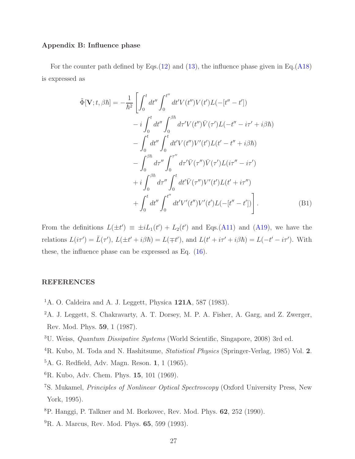## Appendix B: Influence phase

For the counter path defined by Eqs. $(12)$  and  $(13)$ , the influence phase given in Eq. $(A18)$ is expressed as

$$
\tilde{\Phi}[\mathbf{V};t,\beta\hbar] = -\frac{1}{\hbar^2} \left[ \int_0^t dt'' \int_0^{t''} dt' V(t'') V(t') L(-[t'' - t']) \right. \n- i \int_0^t dt'' \int_0^{\beta\hbar} d\tau' V(t'') \bar{V}(\tau') L(-t'' - i\tau' + i\beta\hbar) \n- \int_0^t dt'' \int_0^t dt' V(t'') V'(t') L(t' - t'' + i\beta\hbar) \n- \int_0^{\beta\hbar} d\tau'' \int_0^{\tau''} d\tau' \bar{V}(\tau'') \bar{V}(\tau') L(i\tau'' - i\tau') \n+ i \int_0^{\beta\hbar} d\tau'' \int_0^t dt' \bar{V}(\tau'') V'(t') L(t' + i\tau'') \n+ \int_0^t dt'' \int_0^{t''} dt' V'(t'') V'(t') L(-[t'' - t']) \right].
$$
\n(B1)

From the definitions  $L(\pm t') \equiv \pm iL_1(t') + L_2(t')$  and Eqs.(A11) and (A19), we have the relations  $L(i\tau') = \bar{L}(\tau')$ ,  $L(\pm t' + i\beta \hbar) = L(\mp t')$ , and  $L(t' + i\tau' + i\beta \hbar) = L(-t' - i\tau')$ . With these, the influence phase can be expressed as Eq. (16).

## REFERENCES

- <sup>1</sup>A. O. Caldeira and A. J. Leggett, Physica  $121A$ , 587 (1983).
- <sup>2</sup>A. J. Leggett, S. Chakravarty, A. T. Dorsey, M. P. A. Fisher, A. Garg, and Z. Zwerger, Rev. Mod. Phys. 59, 1 (1987).
- <sup>3</sup>U. Weiss, Quantum Dissipative Systems (World Scientific, Singapore, 2008) 3rd ed.
- <sup>4</sup>R. Kubo, M. Toda and N. Hashitsume, Statistical Physics (Springer-Verlag, 1985) Vol. 2.
- <sup>5</sup>A. G. Redfield, Adv. Magn. Reson. 1, 1 (1965).
- ${}^{6}$ R. Kubo, Adv. Chem. Phys. 15, 101 (1969).
- <sup>7</sup>S. Mukamel, Principles of Nonlinear Optical Spectroscopy (Oxford University Press, New York, 1995).
- <sup>8</sup>P. Hanggi, P. Talkner and M. Borkovec, Rev. Mod. Phys. 62, 252 (1990).
- <sup>9</sup>R. A. Marcus, Rev. Mod. Phys. **65**, 599 (1993).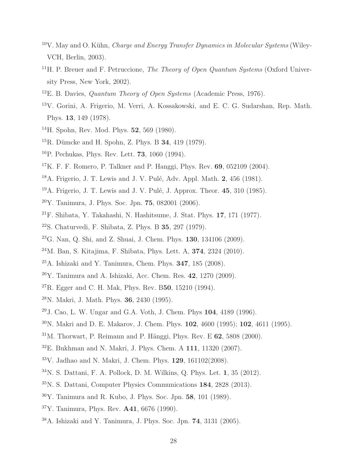- $10V$ . May and O. Kühn, *Charge and Energy Transfer Dynamics in Molecular Systems* (Wiley-VCH, Berlin, 2003).
- <sup>11</sup>H. P. Breuer and F. Petruccione, *The Theory of Open Quantum Systems* (Oxford University Press, New York, 2002).
- <sup>12</sup>E. B. Davies, *Quantum Theory of Open Systems* (Academic Press, 1976).
- V. Gorini, A. Frigerio, M. Verri, A. Kossakowski, and E. C. G. Sudarshan, Rep. Math. Phys. 13, 149 (1978).
- H. Spohn, Rev. Mod. Phys. 52, 569 (1980).
- $15R$ . Dümcke and H. Spohn, Z. Phys. B 34, 419 (1979).
- P. Pechukas, Phys. Rev. Lett. 73, 1060 (1994).
- $17K$ . F. F. Romero, P. Talkner and P. Hanggi, Phys. Rev. 69, 052109 (2004).
- $18A$ . Frigerio, J. T. Lewis and J. V. Pulé, Adv. Appl. Math. 2, 456 (1981).
- $19A$ . Frigerio, J. T. Lewis and J. V. Pulé, J. Approx. Theor. 45, 310 (1985).
- Y. Tanimura, J. Phys. Soc. Jpn. 75, 082001 (2006).
- $21F$ . Shibata, Y. Takahashi, N. Hashitsume, J. Stat. Phys. 17, 171 (1977).
- S. Chaturvedi, F. Shibata, Z. Phys. B 35, 297 (1979).
- G. Nan, Q. Shi, and Z. Shuai, J. Chem. Phys. 130, 134106 (2009).
- M. Ban, S. Kitajima, F. Shibata, Phys. Lett. A, 374, 2324 (2010).
- $25A$ . Ishizaki and Y. Tanimura, Chem. Phys.  $347$ ,  $185$  (2008).
- Y. Tanimura and A. Ishizaki, Acc. Chem. Res. 42, 1270 (2009).
- ${}^{27}R$ . Egger and C. H. Mak, Phys. Rev. B50, 15210 (1994).
- N. Makri, J. Math. Phys. 36, 2430 (1995).
- J. Cao, L. W. Ungar and G.A. Voth, J. Chem. Phys  $104$ ,  $4189$  (1996).
- N. Makri and D. E. Makarov, J. Chem. Phys. 102, 4600 (1995); 102, 4611 (1995).
- M. Thorwart, P. Reimann and P. Hänggi, Phys. Rev. E 62, 5808 (2000).
- E. Bukhman and N. Makri, J. Phys. Chem. A 111, 11320 (2007).
- V. Jadhao and N. Makri, J. Chem. Phys. 129, 161102(2008).
- N. S. Dattani, F. A. Pollock, D. M. Wilkins, Q. Phys. Let. 1, 35 (2012).
- N. S. Dattani, Computer Physics Communications 184, 2828 (2013).
- Y. Tanimura and R. Kubo, J. Phys. Soc. Jpn. 58, 101 (1989).
- Y. Tanimura, Phys. Rev. A41, 6676 (1990).
- A. Ishizaki and Y. Tanimura, J. Phys. Soc. Jpn. 74, 3131 (2005).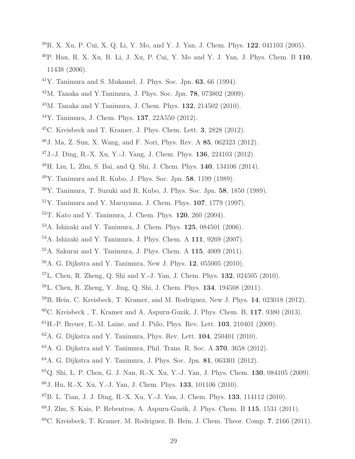- R. X. Xu, P. Cui, X. Q. Li, Y. Mo, and Y. J. Yan, J. Chem. Phys. 122, 041103 (2005).
- P. Han, R. X. Xu, B. Li, J. Xu, P. Cui, Y. Mo and Y. J. Yan, J. Phys. Chem. B 110, 11438 (2006).
- Y. Tanimura and S. Mukamel, J. Phys. Soc. Jpn. 63, 66 (1994).
- M. Tanaka and Y.Tanimura, J. Phys. Soc. Jpn. 78, 073802 (2009).
- M. Tanaka and Y.Tanimura, J. Chem. Phys. 132, 214502 (2010).
- Y. Tanimura, J. Chem. Phys. 137, 22A550 (2012).
- $^{45}$ C. Kreisbeck and T. Kramer, J. Phys. Chem. Lett. 3, 2828 (2012).
- J. Ma, Z. Sun, X. Wang, and F. Nori, Phys. Rev. A 85, 062323 (2012).
- J.-J. Ding, R.-X. Xu, Y.-J. Yang, J. Chem. Phys. 136, 224103 (2012).
- H. Liu, L. Zhu, S. Bai, and Q. Shi, J. Chem. Phys. 140, 134106 (2014).
- Y. Tanimura and R. Kubo, J. Phys. Soc. Jpn. 58, 1199 (1989).
- Y. Tanimura, T. Suzuki and R. Kubo, J. Phys. Soc. Jpn. 58, 1850 (1989).
- Y. Tanimura and Y. Maruyama, J. Chem. Phys.  $107$ , 1779 (1997).
- T. Kato and Y. Tanimura, J. Chem. Phys. 120, 260 (2004).
- A. Ishizaki and Y. Tanimura, J. Chem. Phys. 125, 084501 (2006).
- A. Ishizaki and Y. Tanimura, J. Phys. Chem. A 111, 9269 (2007).
- A. Sakurai and Y. Tanimura, J. Phys. Chem. A 115, 4009 (2011).
- A. G. Dijkstra and Y. Tanimura, New J. Phys. 12, 055005 (2010).
- L. Chen, R. Zheng, Q. Shi and Y.-J. Yan, J. Chem. Phys. 132, 024505 (2010).
- L. Chen, R. Zheng, Y. Jing, Q. Shi, J. Chem. Phys. 134, 194508 (2011).
- B. Hein, C. Kreisbeck, T. Kramer, and M. Rodriguez, New J. Phys. 14, 023018 (2012).
- $60C$ . Kreisbeck, T. Kramer and A. Aspuru-Guzik, J. Phys. Chem. B, 117, 9380 (2013).
- ${}^{61}$ H.-P. Breuer, E.-M. Laine, and J. Piilo, Phys. Rev. Lett. **103**, 210401 (2009).
- $62A$ . G. Dijkstra and Y. Tanimura, Phys. Rev. Lett. **104**, 250401 (2010).
- A. G. Dijkstra and Y. Tanimura, Phil. Trans. R. Soc. A 370, 3658 (2012).
- A. G. Dijkstra and Y. Tanimura, J. Phys. Soc. Jpn. 81, 063301 (2012).
- Q. Shi, L. P. Chen, G. J. Nan, R.-X. Xu, Y.-J. Yan, J. Phys. Chem. 130, 084105 (2009).
- J. Hu, R.-X. Xu, Y.-J. Yan, J. Chem. Phys. 133, 101106 (2010).
- B. L. Tian, J. J. Ding, R.-X. Xu, Y.-J. Yan, J. Chem. Phys. 133, 114112 (2010).
- J. Zhu, S. Kais, P. Rebentros, A. Aspuru-Guzik, J. Phys. Chem. B 115, 1531 (2011).
- C. Kreisbeck, T. Kramer, M. Rodriguez, B. Hein, J. Chem. Theor. Comp. 7, 2166 (2011).